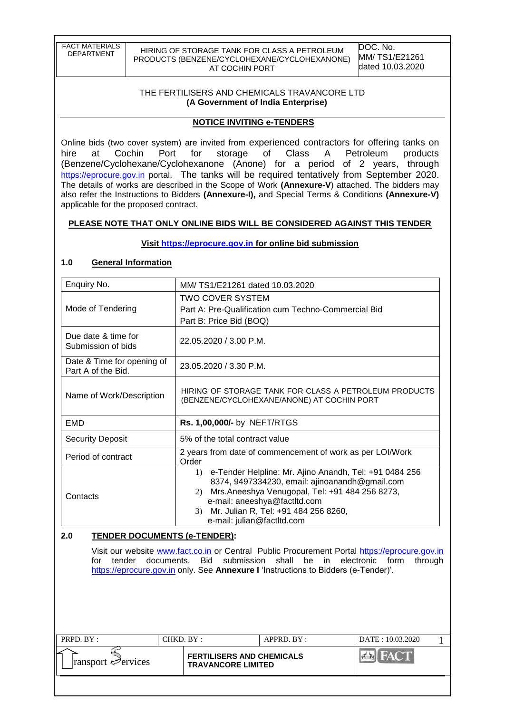| <b>FACT MATERIALS</b> |
|-----------------------|
| DEPARTMENT            |
|                       |

HIRING OF STORAGE TANK FOR CLASS A PETROLEUM PRODUCTS (BENZENE/CYCLOHEXANE/CYCLOHEXANONE) AT COCHIN PORT

DOC. No. MM/ TS1/E21261 dated 10.03.2020

#### THE FERTILISERS AND CHEMICALS TRAVANCORE LTD **(A Government of India Enterprise)**

### **NOTICE INVITING e-TENDERS**

Online bids (two cover system) are invited from experienced contractors for offering tanks on hire at Cochin Port for storage of Class A Petroleum products (Benzene/Cyclohexane/Cyclohexanone (Anone) for a period of 2 years, through [https://eprocure.gov.in](https://eprocure.gov.in/) portal. The tanks will be required tentatively from September 2020. The details of works are described in the Scope of Work **(Annexure-V**) attached. The bidders may also refer the Instructions to Bidders **(Annexure-I),** and Special Terms & Conditions **(Annexure-V)** applicable for the proposed contract.

### **PLEASE NOTE THAT ONLY ONLINE BIDS WILL BE CONSIDERED AGAINST THIS TENDER**

### **Visit [https://eprocure.gov.in](https://eprocure.gov.in/) for online bid submission**

### **1.0 General Information**

| Enquiry No.                                      | MM/TS1/E21261 dated 10.03.2020                                                                                                                                                                                                                                                                    |  |  |  |  |
|--------------------------------------------------|---------------------------------------------------------------------------------------------------------------------------------------------------------------------------------------------------------------------------------------------------------------------------------------------------|--|--|--|--|
| Mode of Tendering                                | TWO COVER SYSTEM<br>Part A: Pre-Qualification cum Techno-Commercial Bid<br>Part B: Price Bid (BOQ)                                                                                                                                                                                                |  |  |  |  |
| Due date & time for<br>Submission of bids        | 22.05.2020 / 3.00 P.M.                                                                                                                                                                                                                                                                            |  |  |  |  |
| Date & Time for opening of<br>Part A of the Bid. | 23.05.2020 / 3.30 P.M.                                                                                                                                                                                                                                                                            |  |  |  |  |
| Name of Work/Description                         | HIRING OF STORAGE TANK FOR CLASS A PETROLEUM PRODUCTS<br>(BENZENE/CYCLOHEXANE/ANONE) AT COCHIN PORT                                                                                                                                                                                               |  |  |  |  |
| EMD                                              | Rs. 1,00,000/- by NEFT/RTGS                                                                                                                                                                                                                                                                       |  |  |  |  |
| <b>Security Deposit</b>                          | 5% of the total contract value                                                                                                                                                                                                                                                                    |  |  |  |  |
| Period of contract                               | 2 years from date of commencement of work as per LOI/Work<br>Order                                                                                                                                                                                                                                |  |  |  |  |
| Contacts                                         | e-Tender Helpline: Mr. Ajino Anandh, Tel: +91 0484 256<br>$\left( \right)$<br>8374, 9497334230, email: ajinoanandh@gmail.com<br>Mrs.Aneeshya Venugopal, Tel: +91 484 256 8273,<br>(2)<br>e-mail: aneeshya@factltd.com<br>Mr. Julian R, Tel: +91 484 256 8260,<br>3)<br>e-mail: julian@factltd.com |  |  |  |  |

### **2.0 TENDER DOCUMENTS (e-TENDER):**

Visit our website [www.fact.co.in](http://www.fact.co.in/) or Central Public Procurement Portal [https://eprocure.gov.in](https://eprocure.gov.in/) for tender documents. Bid submission shall be in electronic form through [https://eprocure.gov.in](https://eprocure.gov.in/) only. See **Annexure I** "Instructions to Bidders (e-Tender)".

| PRPD. BY:                               | CHKD. BY: |                                                               | $APPRD$ . $BY:$ | DATE: 10.03.2020 |  |
|-----------------------------------------|-----------|---------------------------------------------------------------|-----------------|------------------|--|
| $\lvert$ ransport $\mathcal{P}$ ervices |           | <b>FERTILISERS AND CHEMICALS</b><br><b>TRAVANCORE LIMITED</b> |                 |                  |  |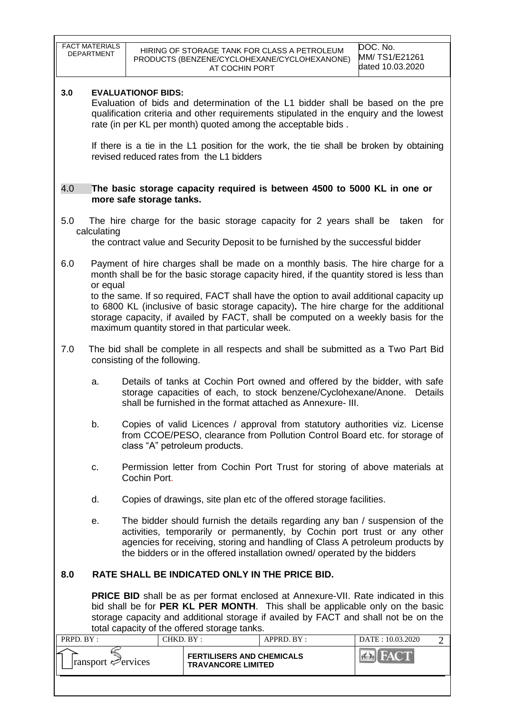|           | <b>FACT MATERIALS</b><br>DOC. No.<br>HIRING OF STORAGE TANK FOR CLASS A PETROLEUM<br><b>DEPARTMENT</b><br>MM/TS1/E21261<br>PRODUCTS (BENZENE/CYCLOHEXANE/CYCLOHEXANONE)<br>dated 10.03.2020<br>AT COCHIN PORT                                                                                                                        |                               |                                                               |                                                                                                                                                                                                              |                                    |  |
|-----------|--------------------------------------------------------------------------------------------------------------------------------------------------------------------------------------------------------------------------------------------------------------------------------------------------------------------------------------|-------------------------------|---------------------------------------------------------------|--------------------------------------------------------------------------------------------------------------------------------------------------------------------------------------------------------------|------------------------------------|--|
| 3.0       | <b>EVALUATIONOF BIDS:</b><br>Evaluation of bids and determination of the L1 bidder shall be based on the pre<br>qualification criteria and other requirements stipulated in the enquiry and the lowest<br>rate (in per KL per month) quoted among the acceptable bids.                                                               |                               |                                                               |                                                                                                                                                                                                              |                                    |  |
|           |                                                                                                                                                                                                                                                                                                                                      |                               | revised reduced rates from the L1 bidders                     | If there is a tie in the L1 position for the work, the tie shall be broken by obtaining                                                                                                                      |                                    |  |
| 4.0       |                                                                                                                                                                                                                                                                                                                                      | more safe storage tanks.      |                                                               | The basic storage capacity required is between 4500 to 5000 KL in one or                                                                                                                                     |                                    |  |
| 5.0       | calculating                                                                                                                                                                                                                                                                                                                          |                               |                                                               | The hire charge for the basic storage capacity for 2 years shall be taken for<br>the contract value and Security Deposit to be furnished by the successful bidder                                            |                                    |  |
| 6.0       |                                                                                                                                                                                                                                                                                                                                      |                               |                                                               | Payment of hire charges shall be made on a monthly basis. The hire charge for a<br>month shall be for the basic storage capacity hired, if the quantity stored is less than                                  |                                    |  |
|           | or equal<br>to the same. If so required, FACT shall have the option to avail additional capacity up<br>to 6800 KL (inclusive of basic storage capacity). The hire charge for the additional<br>storage capacity, if availed by FACT, shall be computed on a weekly basis for the<br>maximum quantity stored in that particular week. |                               |                                                               |                                                                                                                                                                                                              |                                    |  |
| 7.0       |                                                                                                                                                                                                                                                                                                                                      | consisting of the following.  |                                                               | The bid shall be complete in all respects and shall be submitted as a Two Part Bid                                                                                                                           |                                    |  |
|           | a.                                                                                                                                                                                                                                                                                                                                   |                               |                                                               | Details of tanks at Cochin Port owned and offered by the bidder, with safe<br>storage capacities of each, to stock benzene/Cyclohexane/Anone.<br>shall be furnished in the format attached as Annexure- III. | Details                            |  |
|           | b.                                                                                                                                                                                                                                                                                                                                   | class "A" petroleum products. |                                                               | Copies of valid Licences / approval from statutory authorities viz. License<br>from CCOE/PESO, clearance from Pollution Control Board etc. for storage of                                                    |                                    |  |
|           | c.                                                                                                                                                                                                                                                                                                                                   | Cochin Port.                  |                                                               | Permission letter from Cochin Port Trust for storing of above materials at                                                                                                                                   |                                    |  |
|           | d.                                                                                                                                                                                                                                                                                                                                   |                               |                                                               | Copies of drawings, site plan etc of the offered storage facilities.                                                                                                                                         |                                    |  |
|           | The bidder should furnish the details regarding any ban / suspension of the<br>е.<br>activities, temporarily or permanently, by Cochin port trust or any other<br>agencies for receiving, storing and handling of Class A petroleum products by<br>the bidders or in the offered installation owned/ operated by the bidders         |                               |                                                               |                                                                                                                                                                                                              |                                    |  |
| 8.0       |                                                                                                                                                                                                                                                                                                                                      |                               |                                                               | RATE SHALL BE INDICATED ONLY IN THE PRICE BID.                                                                                                                                                               |                                    |  |
|           | <b>PRICE BID</b> shall be as per format enclosed at Annexure-VII. Rate indicated in this<br>bid shall be for PER KL PER MONTH. This shall be applicable only on the basic<br>storage capacity and additional storage if availed by FACT and shall not be on the<br>total capacity of the offered storage tanks.                      |                               |                                                               |                                                                                                                                                                                                              |                                    |  |
| PRPD. BY: |                                                                                                                                                                                                                                                                                                                                      | CHKD. BY:                     |                                                               | APPRD. BY :                                                                                                                                                                                                  | DATE: 10.03.2020<br>$\overline{2}$ |  |
|           | ransport evices                                                                                                                                                                                                                                                                                                                      |                               | <b>FERTILISERS AND CHEMICALS</b><br><b>TRAVANCORE LIMITED</b> |                                                                                                                                                                                                              | $\mathbf{A}$                       |  |
|           |                                                                                                                                                                                                                                                                                                                                      |                               |                                                               |                                                                                                                                                                                                              |                                    |  |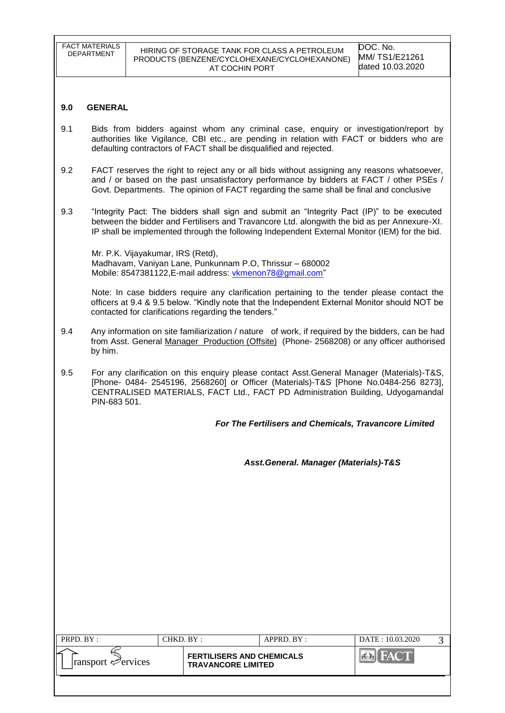|                                                                                                                                                                                                                                                                                          | ransport <del></del> <i>∈</i> ervices                                                                                                                                                                                                                                                 |                                                      | <b>TRAVANCORE LIMITED</b> | <b>FERTILISERS AND CHEMICALS</b>                                                                                                                                                                                                                                                            |  | <b>FACT</b><br>44                             |   |
|------------------------------------------------------------------------------------------------------------------------------------------------------------------------------------------------------------------------------------------------------------------------------------------|---------------------------------------------------------------------------------------------------------------------------------------------------------------------------------------------------------------------------------------------------------------------------------------|------------------------------------------------------|---------------------------|---------------------------------------------------------------------------------------------------------------------------------------------------------------------------------------------------------------------------------------------------------------------------------------------|--|-----------------------------------------------|---|
| PRPD. BY:                                                                                                                                                                                                                                                                                |                                                                                                                                                                                                                                                                                       | CHKD. BY:                                            |                           | APPRD. BY :                                                                                                                                                                                                                                                                                 |  | DATE: 10.03.2020                              | 3 |
|                                                                                                                                                                                                                                                                                          |                                                                                                                                                                                                                                                                                       |                                                      |                           | Asst.General. Manager (Materials)-T&S                                                                                                                                                                                                                                                       |  |                                               |   |
|                                                                                                                                                                                                                                                                                          |                                                                                                                                                                                                                                                                                       |                                                      |                           | For The Fertilisers and Chemicals, Travancore Limited                                                                                                                                                                                                                                       |  |                                               |   |
| 9.5                                                                                                                                                                                                                                                                                      | For any clarification on this enquiry please contact Asst.General Manager (Materials)-T&S,<br>[Phone- 0484- 2545196, 2568260] or Officer (Materials)-T&S [Phone No.0484-256 8273],<br>CENTRALISED MATERIALS, FACT Ltd., FACT PD Administration Building, Udyogamandal<br>PIN-683 501. |                                                      |                           |                                                                                                                                                                                                                                                                                             |  |                                               |   |
| 9.4                                                                                                                                                                                                                                                                                      | by him.                                                                                                                                                                                                                                                                               |                                                      |                           | Any information on site familiarization / nature of work, if required by the bidders, can be had<br>from Asst. General Manager Production (Offsite) (Phone- 2568208) or any officer authorised                                                                                              |  |                                               |   |
|                                                                                                                                                                                                                                                                                          |                                                                                                                                                                                                                                                                                       | contacted for clarifications regarding the tenders." |                           | Note: In case bidders require any clarification pertaining to the tender please contact the<br>officers at 9.4 & 9.5 below. "Kindly note that the Independent External Monitor should NOT be                                                                                                |  |                                               |   |
|                                                                                                                                                                                                                                                                                          |                                                                                                                                                                                                                                                                                       | Mr. P.K. Vijayakumar, IRS (Retd),                    |                           | Madhavam, Vaniyan Lane, Punkunnam P.O, Thrissur - 680002<br>Mobile: 8547381122, E-mail address: vkmenon78@gmail.com"                                                                                                                                                                        |  |                                               |   |
| 9.3                                                                                                                                                                                                                                                                                      |                                                                                                                                                                                                                                                                                       |                                                      |                           | "Integrity Pact: The bidders shall sign and submit an "Integrity Pact (IP)" to be executed<br>between the bidder and Fertilisers and Travancore Ltd. alongwith the bid as per Annexure-XI.<br>IP shall be implemented through the following Independent External Monitor (IEM) for the bid. |  |                                               |   |
| 9.2<br>FACT reserves the right to reject any or all bids without assigning any reasons whatsoever,<br>and / or based on the past unsatisfactory performance by bidders at FACT / other PSEs /<br>Govt. Departments. The opinion of FACT regarding the same shall be final and conclusive |                                                                                                                                                                                                                                                                                       |                                                      |                           |                                                                                                                                                                                                                                                                                             |  |                                               |   |
| 9.1                                                                                                                                                                                                                                                                                      |                                                                                                                                                                                                                                                                                       |                                                      |                           | Bids from bidders against whom any criminal case, enquiry or investigation/report by<br>authorities like Vigilance, CBI etc., are pending in relation with FACT or bidders who are<br>defaulting contractors of FACT shall be disqualified and rejected.                                    |  |                                               |   |
| 9.0                                                                                                                                                                                                                                                                                      | <b>GENERAL</b>                                                                                                                                                                                                                                                                        |                                                      |                           |                                                                                                                                                                                                                                                                                             |  |                                               |   |
|                                                                                                                                                                                                                                                                                          |                                                                                                                                                                                                                                                                                       |                                                      |                           |                                                                                                                                                                                                                                                                                             |  |                                               |   |
|                                                                                                                                                                                                                                                                                          | <b>FACT MATERIALS</b><br>DEPARTMENT                                                                                                                                                                                                                                                   |                                                      |                           | HIRING OF STORAGE TANK FOR CLASS A PETROLEUM<br>PRODUCTS (BENZENE/CYCLOHEXANE/CYCLOHEXANONE)<br>AT COCHIN PORT                                                                                                                                                                              |  | DOC. No.<br>MM/TS1/E21261<br>dated 10.03.2020 |   |
|                                                                                                                                                                                                                                                                                          |                                                                                                                                                                                                                                                                                       |                                                      |                           |                                                                                                                                                                                                                                                                                             |  |                                               |   |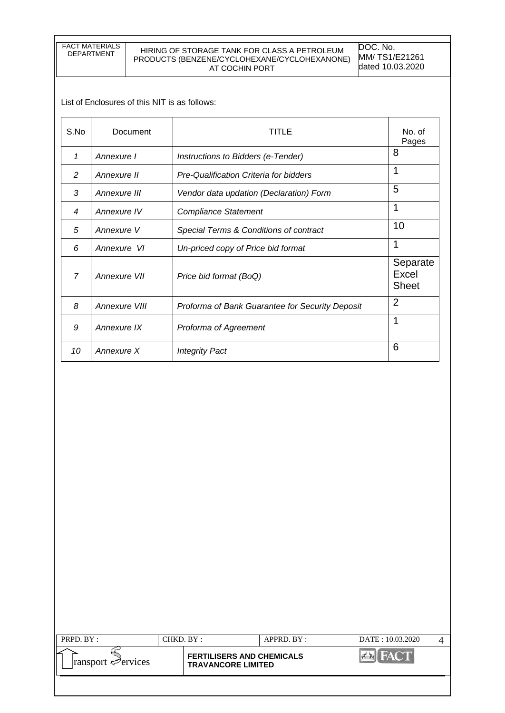FACT MATERIALS

#### HIRING OF STORAGE TANK FOR CLASS A PETROLEUM PRODUCTS (BENZENE/CYCLOHEXANE/CYCLOHEXANONE) AT COCHIN PORT

DOC. No. MM/ TS1/E21261 dated 10.03.2020

List of Enclosures of this NIT is as follows:

| S.No           | Document      | TITLE                                           | No. of<br>Pages                   |
|----------------|---------------|-------------------------------------------------|-----------------------------------|
| 1              | Annexure I    | Instructions to Bidders (e-Tender)              | 8                                 |
| 2              | Annexure II   | Pre-Qualification Criteria for bidders          | 1                                 |
| 3              | Annexure III  | Vendor data updation (Declaration) Form         | 5                                 |
| 4              | Annexure IV   | <b>Compliance Statement</b>                     | 1                                 |
| 5              | Annexure V    | Special Terms & Conditions of contract          | 10                                |
| 6              | Annexure VI   | Un-priced copy of Price bid format              | 1                                 |
| $\overline{7}$ | Annexure VII  | Price bid format (BoQ)                          | Separate<br>Excel<br><b>Sheet</b> |
| 8              | Annexure VIII | Proforma of Bank Guarantee for Security Deposit | $\overline{2}$                    |
| 9              | Annexure IX   | Proforma of Agreement                           | 1                                 |
| 10             | Annexure X    | <b>Integrity Pact</b>                           | 6                                 |

| $PRPD$ $RY:$                   | CHKD. BY: |                                                               | $APPRD$ $BY:$ | DATE: 10.03.2020 |  |
|--------------------------------|-----------|---------------------------------------------------------------|---------------|------------------|--|
| ransport $\mathcal{P}$ ervices |           | <b>FERTILISERS AND CHEMICALS</b><br><b>TRAVANCORE LIMITED</b> |               |                  |  |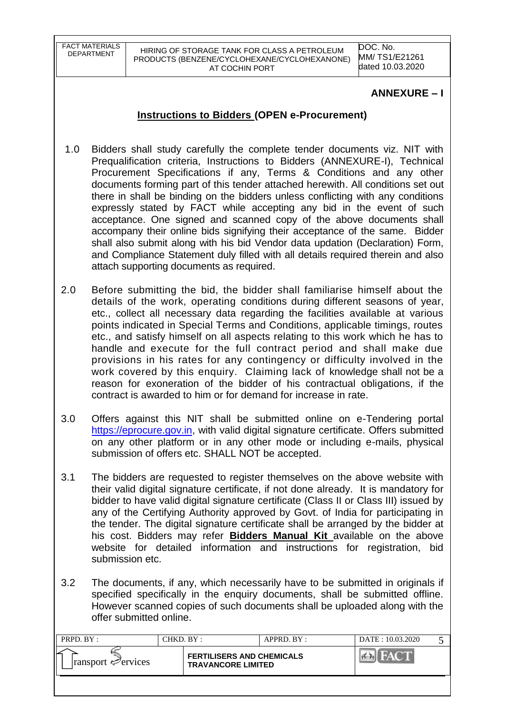FACT MATERIALS

DOC. No. MM/ TS1/E21261 dated 10.03.2020

## **ANNEXURE – I**

# **Instructions to Bidders (OPEN e-Procurement)**

- 1.0 Bidders shall study carefully the complete tender documents viz. NIT with Prequalification criteria, Instructions to Bidders (ANNEXURE-I), Technical Procurement Specifications if any, Terms & Conditions and any other documents forming part of this tender attached herewith. All conditions set out there in shall be binding on the bidders unless conflicting with any conditions expressly stated by FACT while accepting any bid in the event of such acceptance. One signed and scanned copy of the above documents shall accompany their online bids signifying their acceptance of the same. Bidder shall also submit along with his bid Vendor data updation (Declaration) Form, and Compliance Statement duly filled with all details required therein and also attach supporting documents as required.
- 2.0 Before submitting the bid, the bidder shall familiarise himself about the details of the work, operating conditions during different seasons of year, etc., collect all necessary data regarding the facilities available at various points indicated in Special Terms and Conditions, applicable timings, routes etc., and satisfy himself on all aspects relating to this work which he has to handle and execute for the full contract period and shall make due provisions in his rates for any contingency or difficulty involved in the work covered by this enquiry. Claiming lack of knowledge shall not be a reason for exoneration of the bidder of his contractual obligations, if the contract is awarded to him or for demand for increase in rate.
- 3.0 Offers against this NIT shall be submitted online on e-Tendering portal [https://eprocure.gov.in,](https://eprocure.gov.in/) with valid digital signature certificate. Offers submitted on any other platform or in any other mode or including e-mails, physical submission of offers etc. SHALL NOT be accepted.
- 3.1 The bidders are requested to register themselves on the above website with their valid digital signature certificate, if not done already. It is mandatory for bidder to have valid digital signature certificate (Class II or Class III) issued by any of the Certifying Authority approved by Govt. of India for participating in the tender. The digital signature certificate shall be arranged by the bidder at his cost. Bidders may refer **Bidders Manual Kit** available on the above website for detailed information and instructions for registration, bid submission etc.
- 3.2 The documents, if any, which necessarily have to be submitted in originals if specified specifically in the enquiry documents, shall be submitted offline. However scanned copies of such documents shall be uploaded along with the offer submitted online.

| PRPD. BY:                               | CHKD. BY : |                                                               | APPRD. BY: | DATE: 10.03.2020 |  |
|-----------------------------------------|------------|---------------------------------------------------------------|------------|------------------|--|
| $\lvert$ ransport $\mathcal{P}$ ervices |            | <b>FERTILISERS AND CHEMICALS</b><br><b>TRAVANCORE LIMITED</b> |            |                  |  |
|                                         |            |                                                               |            |                  |  |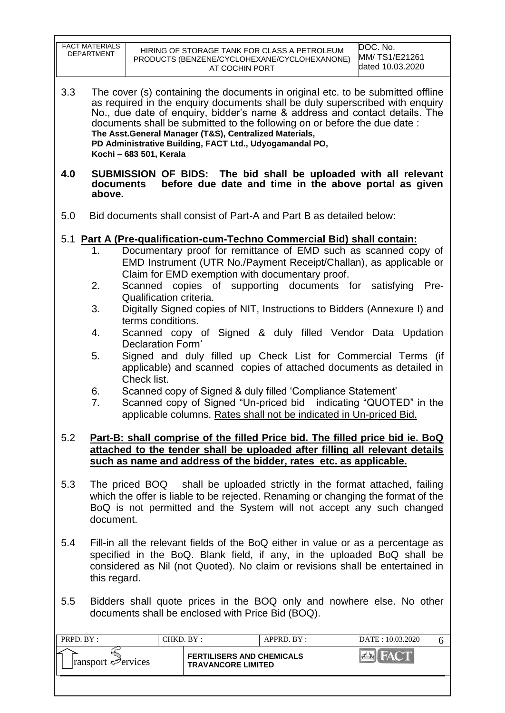|           | <b>FACT MATERIALS</b><br><b>DEPARTMENT</b>                                                                                                                                                                                                                   |                                              | HIRING OF STORAGE TANK FOR CLASS A PETROLEUM<br>PRODUCTS (BENZENE/CYCLOHEXANE/CYCLOHEXANONE)<br>AT COCHIN PORT                                                                                                                                                                                                                                                                                                                                                        | DOC. No.<br>MM/TS1/E21261<br>dated 10.03.2020 |  |
|-----------|--------------------------------------------------------------------------------------------------------------------------------------------------------------------------------------------------------------------------------------------------------------|----------------------------------------------|-----------------------------------------------------------------------------------------------------------------------------------------------------------------------------------------------------------------------------------------------------------------------------------------------------------------------------------------------------------------------------------------------------------------------------------------------------------------------|-----------------------------------------------|--|
| 3.3       |                                                                                                                                                                                                                                                              | Kochi - 683 501, Kerala                      | The cover (s) containing the documents in original etc. to be submitted offline<br>as required in the enquiry documents shall be duly superscribed with enquiry<br>No., due date of enquiry, bidder's name & address and contact details. The<br>documents shall be submitted to the following on or before the due date:<br>The Asst. General Manager (T&S), Centralized Materials,<br>PD Administrative Building, FACT Ltd., Udyogamandal PO,                       |                                               |  |
| 4.0       | documents<br>above.                                                                                                                                                                                                                                          |                                              | SUBMISSION OF BIDS: The bid shall be uploaded with all relevant<br>before due date and time in the above portal as given                                                                                                                                                                                                                                                                                                                                              |                                               |  |
| 5.0       |                                                                                                                                                                                                                                                              |                                              | Bid documents shall consist of Part-A and Part B as detailed below:                                                                                                                                                                                                                                                                                                                                                                                                   |                                               |  |
|           | 1.<br>2.<br>3.<br>4.                                                                                                                                                                                                                                         | Qualification criteria.<br>terms conditions. | 5.1 Part A (Pre-qualification-cum-Techno Commercial Bid) shall contain:<br>Documentary proof for remittance of EMD such as scanned copy of<br>EMD Instrument (UTR No./Payment Receipt/Challan), as applicable or<br>Claim for EMD exemption with documentary proof.<br>Scanned copies of supporting documents for satisfying<br>Digitally Signed copies of NIT, Instructions to Bidders (Annexure I) and<br>Scanned copy of Signed & duly filled Vendor Data Updation | Pre-                                          |  |
|           | 5.<br>6.<br>7.                                                                                                                                                                                                                                               | Declaration Form'<br>Check list.             | Signed and duly filled up Check List for Commercial Terms (if<br>applicable) and scanned copies of attached documents as detailed in<br>Scanned copy of Signed & duly filled 'Compliance Statement'<br>Scanned copy of Signed "Un-priced bid indicating "QUOTED" in the<br>applicable columns. Rates shall not be indicated in Un-priced Bid.                                                                                                                         |                                               |  |
| 5.2       |                                                                                                                                                                                                                                                              |                                              | Part-B: shall comprise of the filled Price bid. The filled price bid ie. BoQ<br>attached to the tender shall be uploaded after filling all relevant details<br>such as name and address of the bidder, rates etc. as applicable.                                                                                                                                                                                                                                      |                                               |  |
| 5.3       | document.                                                                                                                                                                                                                                                    |                                              | The priced BOQ shall be uploaded strictly in the format attached, failing<br>which the offer is liable to be rejected. Renaming or changing the format of the<br>BoQ is not permitted and the System will not accept any such changed                                                                                                                                                                                                                                 |                                               |  |
| 5.4       | Fill-in all the relevant fields of the BoQ either in value or as a percentage as<br>specified in the BoQ. Blank field, if any, in the uploaded BoQ shall be<br>considered as Nil (not Quoted). No claim or revisions shall be entertained in<br>this regard. |                                              |                                                                                                                                                                                                                                                                                                                                                                                                                                                                       |                                               |  |
| 5.5       | Bidders shall quote prices in the BOQ only and nowhere else. No other<br>documents shall be enclosed with Price Bid (BOQ).                                                                                                                                   |                                              |                                                                                                                                                                                                                                                                                                                                                                                                                                                                       |                                               |  |
| PRPD. BY: |                                                                                                                                                                                                                                                              | CHKD. BY:                                    | APPRD. BY:                                                                                                                                                                                                                                                                                                                                                                                                                                                            | DATE: 10.03.2020<br>6                         |  |
|           | ransport $\mathcal{P}$ ervices                                                                                                                                                                                                                               |                                              | <b>FERTILISERS AND CHEMICALS</b><br><b>TRAVANCORE LIMITED</b>                                                                                                                                                                                                                                                                                                                                                                                                         | <b>BIFACT</b>                                 |  |

 $\overline{\phantom{a}}$ 

 $\mathsf{r}$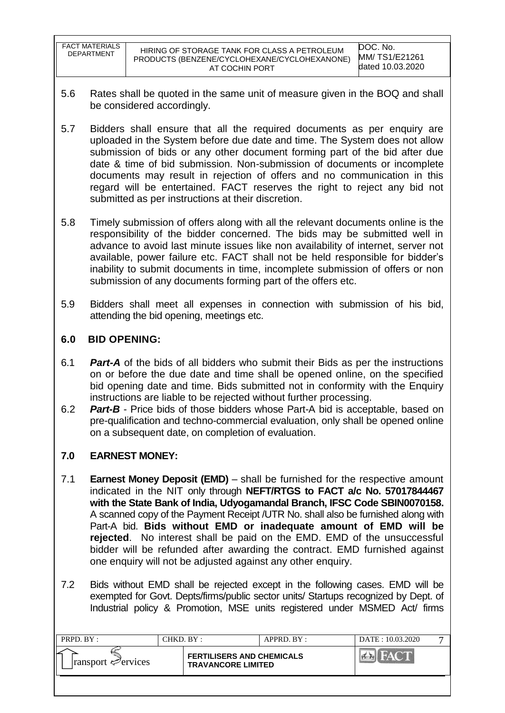| <b>FACT MATERIALS</b><br><b>DEPARTMENT</b> | HIRING OF STORAGE TANK FOR CLASS A PETROLEUM<br>PRODUCTS (BENZENE/CYCLOHEXANE/CYCLOHEXANONE)<br>AT COCHIN PORT | DOC. No.<br>MM/ TS1/E21261<br>dated 10.03.2020 |
|--------------------------------------------|----------------------------------------------------------------------------------------------------------------|------------------------------------------------|
|--------------------------------------------|----------------------------------------------------------------------------------------------------------------|------------------------------------------------|

- 5.6 Rates shall be quoted in the same unit of measure given in the BOQ and shall be considered accordingly.
- 5.7 Bidders shall ensure that all the required documents as per enquiry are uploaded in the System before due date and time. The System does not allow submission of bids or any other document forming part of the bid after due date & time of bid submission. Non-submission of documents or incomplete documents may result in rejection of offers and no communication in this regard will be entertained. FACT reserves the right to reject any bid not submitted as per instructions at their discretion.
- 5.8 Timely submission of offers along with all the relevant documents online is the responsibility of the bidder concerned. The bids may be submitted well in advance to avoid last minute issues like non availability of internet, server not available, power failure etc. FACT shall not be held responsible for bidder"s inability to submit documents in time, incomplete submission of offers or non submission of any documents forming part of the offers etc.
- 5.9 Bidders shall meet all expenses in connection with submission of his bid, attending the bid opening, meetings etc.

# **6.0 BID OPENING:**

- 6.1 *Part-A* of the bids of all bidders who submit their Bids as per the instructions on or before the due date and time shall be opened online, on the specified bid opening date and time. Bids submitted not in conformity with the Enquiry instructions are liable to be rejected without further processing.
- 6.2 *Part-B* Price bids of those bidders whose Part-A bid is acceptable, based on pre-qualification and techno-commercial evaluation, only shall be opened online on a subsequent date, on completion of evaluation.

## **7.0 EARNEST MONEY:**

- 7.1 **Earnest Money Deposit (EMD)** shall be furnished for the respective amount indicated in the NIT only through **NEFT/RTGS to FACT a/c No. 57017844467 with the State Bank of India, Udyogamandal Branch, IFSC Code SBIN0070158.**  A scanned copy of the Payment Receipt /UTR No. shall also be furnished along with Part-A bid. **Bids without EMD or inadequate amount of EMD will be rejected**. No interest shall be paid on the EMD. EMD of the unsuccessful bidder will be refunded after awarding the contract. EMD furnished against one enquiry will not be adjusted against any other enquiry.
- 7.2 Bids without EMD shall be rejected except in the following cases. EMD will be exempted for Govt. Depts/firms/public sector units/ Startups recognized by Dept. of Industrial policy & Promotion, MSE units registered under MSMED Act/ firms

| PRPD. BY:                   | CHKD. BY :- |                                                               | $APPRD$ . $BY$ : | DATE: 10.03.2020 |  |
|-----------------------------|-------------|---------------------------------------------------------------|------------------|------------------|--|
| $ $ ransport $\leq$ ervices |             | <b>FERTILISERS AND CHEMICALS</b><br><b>TRAVANCORE LIMITED</b> |                  |                  |  |
|                             |             |                                                               |                  |                  |  |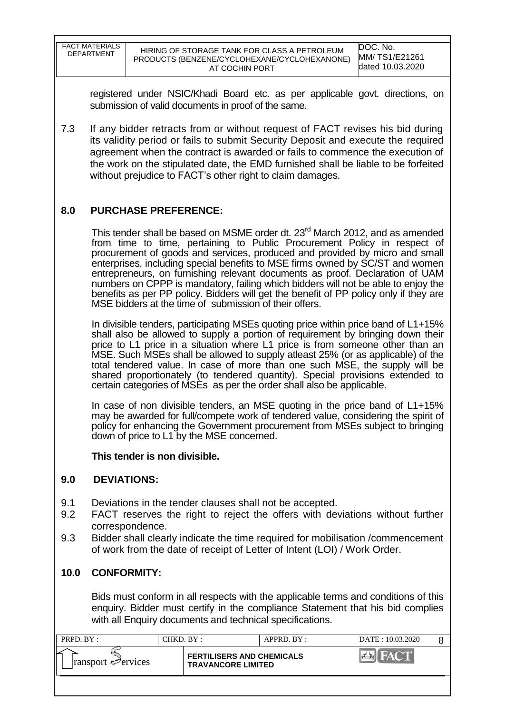| FACT MATERIALS<br><b>DEPARTMENT</b> | HIRING OF STORAGE TANK FOR CLASS A PETROLEUM<br>PRODUCTS (BENZENE/CYCLOHEXANE/CYCLOHEXANONE)<br>AT COCHIN PORT | DOC. No.<br><b>MM/TS1/E21261</b><br>dated 10.03.2020 |
|-------------------------------------|----------------------------------------------------------------------------------------------------------------|------------------------------------------------------|
|-------------------------------------|----------------------------------------------------------------------------------------------------------------|------------------------------------------------------|

registered under NSIC/Khadi Board etc. as per applicable govt. directions, on submission of valid documents in proof of the same.

7.3 If any bidder retracts from or without request of FACT revises his bid during its validity period or fails to submit Security Deposit and execute the required agreement when the contract is awarded or fails to commence the execution of the work on the stipulated date, the EMD furnished shall be liable to be forfeited without prejudice to FACT's other right to claim damages.

## **8.0 PURCHASE PREFERENCE:**

This tender shall be based on MSME order dt. 23<sup>rd</sup> March 2012, and as amended from time to time, pertaining to Public Procurement Policy in respect of procurement of goods and services, produced and provided by micro and small enterprises, including special benefits to MSE firms owned by SC/ST and women entrepreneurs, on furnishing relevant documents as proof. Declaration of UAM numbers on CPPP is mandatory, failing which bidders will not be able to enjoy the benefits as per PP policy. Bidders will get the benefit of PP policy only if they are MSE bidders at the time of submission of their offers.

In divisible tenders, participating MSEs quoting price within price band of L1+15% shall also be allowed to supply a portion of requirement by bringing down their price to L1 price in a situation where L1 price is from someone other than an MSE. Such MSEs shall be allowed to supply atleast 25% (or as applicable) of the total tendered value. In case of more than one such MSE, the supply will be shared proportionately (to tendered quantity). Special provisions extended to certain categories of MSEs as per the order shall also be applicable.

In case of non divisible tenders, an MSE quoting in the price band of L1+15% may be awarded for full/compete work of tendered value, considering the spirit of policy for enhancing the Government procurement from MSEs subject to bringing down of price to L1 by the MSE concerned.

**This tender is non divisible.**

### **9.0 DEVIATIONS:**

- 9.1 Deviations in the tender clauses shall not be accepted.
- 9.2 FACT reserves the right to reject the offers with deviations without further correspondence.
- 9.3 Bidder shall clearly indicate the time required for mobilisation /commencement of work from the date of receipt of Letter of Intent (LOI) / Work Order.

### **10.0 CONFORMITY:**

Bids must conform in all respects with the applicable terms and conditions of this enquiry. Bidder must certify in the compliance Statement that his bid complies with all Enquiry documents and technical specifications.

| PRPD. BY:                           | CHKD. BY : |                                                               | APPRD. BY: | DATE: 10.03.2020 |  |
|-------------------------------------|------------|---------------------------------------------------------------|------------|------------------|--|
| ►<br>ransport $\mathcal{P}$ ervices |            | <b>FERTILISERS AND CHEMICALS</b><br><b>TRAVANCORE LIMITED</b> |            | HACT             |  |
|                                     |            |                                                               |            |                  |  |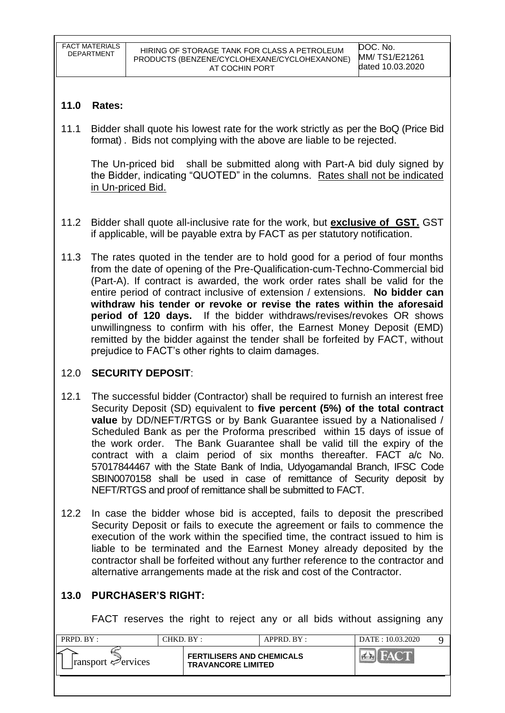## **11.0 Rates:**

11.1 Bidder shall quote his lowest rate for the work strictly as per the BoQ (Price Bid format) . Bids not complying with the above are liable to be rejected.

The Un-priced bid shall be submitted along with Part-A bid duly signed by the Bidder, indicating "QUOTED" in the columns. Rates shall not be indicated in Un-priced Bid.

- 11.2 Bidder shall quote all-inclusive rate for the work, but **exclusive of GST.** GST if applicable, will be payable extra by FACT as per statutory notification.
- 11.3 The rates quoted in the tender are to hold good for a period of four months from the date of opening of the Pre-Qualification-cum-Techno-Commercial bid (Part-A). If contract is awarded, the work order rates shall be valid for the entire period of contract inclusive of extension / extensions. **No bidder can withdraw his tender or revoke or revise the rates within the aforesaid period of 120 days.** If the bidder withdraws/revises/revokes OR shows unwillingness to confirm with his offer, the Earnest Money Deposit (EMD) remitted by the bidder against the tender shall be forfeited by FACT, without prejudice to FACT"s other rights to claim damages.

## 12.0 **SECURITY DEPOSIT**:

- 12.1 The successful bidder (Contractor) shall be required to furnish an interest free Security Deposit (SD) equivalent to **five percent (5%) of the total contract value** by DD/NEFT/RTGS or by Bank Guarantee issued by a Nationalised / Scheduled Bank as per the Proforma prescribed within 15 days of issue of the work order. The Bank Guarantee shall be valid till the expiry of the contract with a claim period of six months thereafter. FACT a/c No. 57017844467 with the State Bank of India, Udyogamandal Branch, IFSC Code SBIN0070158 shall be used in case of remittance of Security deposit by NEFT/RTGS and proof of remittance shall be submitted to FACT.
- 12.2 In case the bidder whose bid is accepted, fails to deposit the prescribed Security Deposit or fails to execute the agreement or fails to commence the execution of the work within the specified time, the contract issued to him is liable to be terminated and the Earnest Money already deposited by the contractor shall be forfeited without any further reference to the contractor and alternative arrangements made at the risk and cost of the Contractor.

# **13.0 PURCHASER'S RIGHT:**

FACT reserves the right to reject any or all bids without assigning any

| PRPD. BY:                               | CHKD. BY : |                                                               | $APPRD$ . $BY:$ | DATE: 10.03.2020 |  |
|-----------------------------------------|------------|---------------------------------------------------------------|-----------------|------------------|--|
| $\lvert$ ransport $\mathcal{P}$ ervices |            | <b>FERTILISERS AND CHEMICALS</b><br><b>TRAVANCORE LIMITED</b> |                 |                  |  |
|                                         |            |                                                               |                 |                  |  |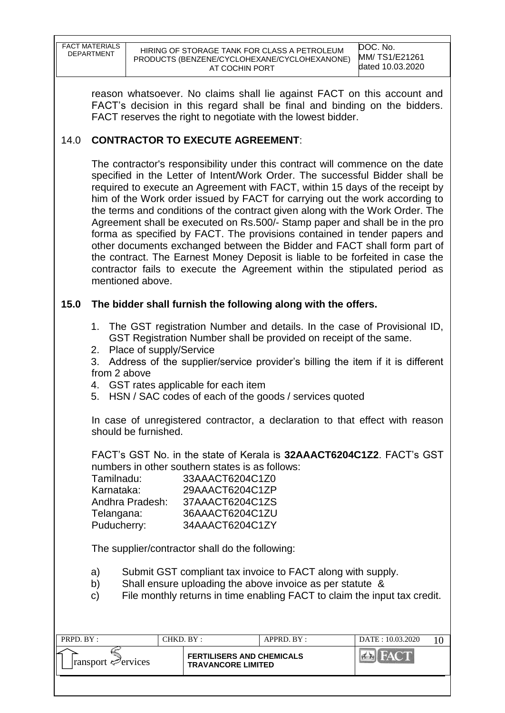| <b>FACT MATERIALS</b> |
|-----------------------|
| <b>DEPARTMENT</b>     |
|                       |

reason whatsoever. No claims shall lie against FACT on this account and FACT"s decision in this regard shall be final and binding on the bidders. FACT reserves the right to negotiate with the lowest bidder.

# 14.0 **CONTRACTOR TO EXECUTE AGREEMENT**:

The contractor's responsibility under this contract will commence on the date specified in the Letter of Intent/Work Order. The successful Bidder shall be required to execute an Agreement with FACT, within 15 days of the receipt by him of the Work order issued by FACT for carrying out the work according to the terms and conditions of the contract given along with the Work Order. The Agreement shall be executed on Rs.500/- Stamp paper and shall be in the pro forma as specified by FACT. The provisions contained in tender papers and other documents exchanged between the Bidder and FACT shall form part of the contract. The Earnest Money Deposit is liable to be forfeited in case the contractor fails to execute the Agreement within the stipulated period as mentioned above.

## **15.0 The bidder shall furnish the following along with the offers.**

- 1. The GST registration Number and details. In the case of Provisional ID, GST Registration Number shall be provided on receipt of the same.
- 2. Place of supply/Service

3. Address of the supplier/service provider"s billing the item if it is different from 2 above

- 4. GST rates applicable for each item
- 5. HSN / SAC codes of each of the goods / services quoted

In case of unregistered contractor, a declaration to that effect with reason should be furnished.

FACT"s GST No. in the state of Kerala is **32AAACT6204C1Z2**. FACT"s GST numbers in other southern states is as follows:

| Tamilnadu:      | 33AAACT6204C1Z0 |
|-----------------|-----------------|
| Karnataka:      | 29AAACT6204C1ZP |
| Andhra Pradesh: | 37AAACT6204C1ZS |
| Telangana:      | 36AAACT6204C1ZU |
| Puducherry:     | 34AAACT6204C1ZY |

The supplier/contractor shall do the following:

- a) Submit GST compliant tax invoice to FACT along with supply.
- b) Shall ensure uploading the above invoice as per statute &
- c) File monthly returns in time enabling FACT to claim the input tax credit.

| PRPD. BY :                         | CHKD. BY :                                                    | APPRD. BY: | DATE: 10.03.2020 |  |
|------------------------------------|---------------------------------------------------------------|------------|------------------|--|
| $ $ ransport $\mathcal{P}$ ervices | <b>FERTILISERS AND CHEMICALS</b><br><b>TRAVANCORE LIMITED</b> |            |                  |  |
|                                    |                                                               |            |                  |  |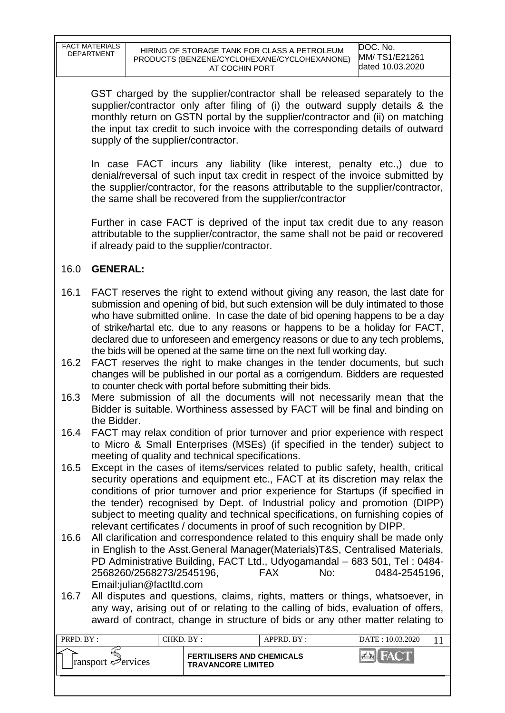| <b>FACT MATERIALS</b> |              |
|-----------------------|--------------|
| <b>DEPARTMENT</b>     | <b>HIRIN</b> |
|                       | <b>PRODU</b> |

GST charged by the supplier/contractor shall be released separately to the supplier/contractor only after filing of (i) the outward supply details & the monthly return on GSTN portal by the supplier/contractor and (ii) on matching the input tax credit to such invoice with the corresponding details of outward supply of the supplier/contractor.

In case FACT incurs any liability (like interest, penalty etc.,) due to denial/reversal of such input tax credit in respect of the invoice submitted by the supplier/contractor, for the reasons attributable to the supplier/contractor, the same shall be recovered from the supplier/contractor

Further in case FACT is deprived of the input tax credit due to any reason attributable to the supplier/contractor, the same shall not be paid or recovered if already paid to the supplier/contractor.

# 16.0 **GENERAL:**

- 16.1 FACT reserves the right to extend without giving any reason, the last date for submission and opening of bid, but such extension will be duly intimated to those who have submitted online. In case the date of bid opening happens to be a day of strike/hartal etc. due to any reasons or happens to be a holiday for FACT, declared due to unforeseen and emergency reasons or due to any tech problems, the bids will be opened at the same time on the next full working day.
- 16.2 FACT reserves the right to make changes in the tender documents, but such changes will be published in our portal as a corrigendum. Bidders are requested to counter check with portal before submitting their bids.
- 16.3 Mere submission of all the documents will not necessarily mean that the Bidder is suitable. Worthiness assessed by FACT will be final and binding on the Bidder.
- 16.4 FACT may relax condition of prior turnover and prior experience with respect to Micro & Small Enterprises (MSEs) (if specified in the tender) subject to meeting of quality and technical specifications.
- 16.5 Except in the cases of items/services related to public safety, health, critical security operations and equipment etc., FACT at its discretion may relax the conditions of prior turnover and prior experience for Startups (if specified in the tender) recognised by Dept. of Industrial policy and promotion (DIPP) subject to meeting quality and technical specifications, on furnishing copies of relevant certificates / documents in proof of such recognition by DIPP.
- 16.6 All clarification and correspondence related to this enquiry shall be made only in English to the Asst.General Manager(Materials)T&S, Centralised Materials, PD Administrative Building, FACT Ltd., Udyogamandal – 683 501, Tel : 0484- 2568260/2568273/2545196, FAX No: 0484-2545196, Email:julian@factltd.com
- 16.7 All disputes and questions, claims, rights, matters or things, whatsoever, in any way, arising out of or relating to the calling of bids, evaluation of offers, award of contract, change in structure of bids or any other matter relating to

| PRPD. BY:                               | CHKD. BY :- |                                                               | $APPRD$ . $BY:$ | DATE: 10.03.2020 |  |
|-----------------------------------------|-------------|---------------------------------------------------------------|-----------------|------------------|--|
| $\lvert$ ransport $\mathcal{P}$ ervices |             | <b>FERTILISERS AND CHEMICALS</b><br><b>TRAVANCORE LIMITED</b> |                 |                  |  |
|                                         |             |                                                               |                 |                  |  |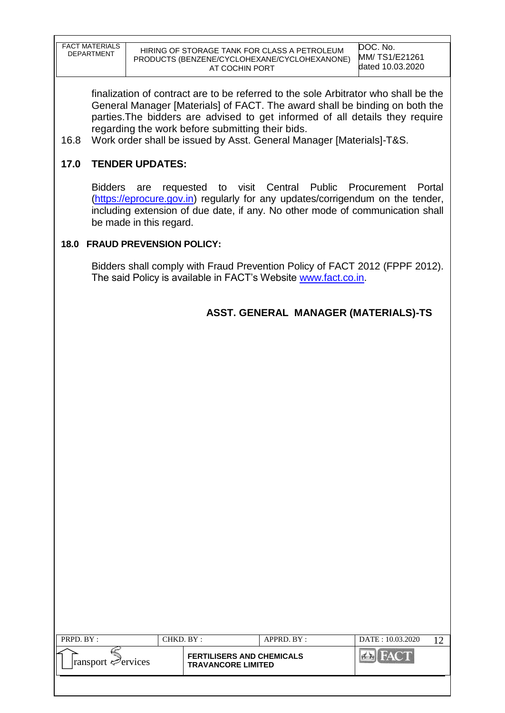| FACT MATERIALS<br><b>DEPARTMENT</b> | HIRING OF STORAGE TANK FOR CLASS A PETROLEUM<br>PRODUCTS (BENZENE/CYCLOHEXANE/CYCLOHEXANONE)<br>AT COCHIN PORT | DOC. No.<br>MM/TS1/E21261<br>dated 10.03.2020 |
|-------------------------------------|----------------------------------------------------------------------------------------------------------------|-----------------------------------------------|
|-------------------------------------|----------------------------------------------------------------------------------------------------------------|-----------------------------------------------|

finalization of contract are to be referred to the sole Arbitrator who shall be the General Manager [Materials] of FACT. The award shall be binding on both the parties.The bidders are advised to get informed of all details they require regarding the work before submitting their bids.

16.8 Work order shall be issued by Asst. General Manager [Materials]-T&S.

## **17.0 TENDER UPDATES:**

Bidders are requested to visit Central Public Procurement Portal [\(https://eprocure.gov.in\)](https://eprocure.gov.in/) regularly for any updates/corrigendum on the tender, including extension of due date, if any. No other mode of communication shall be made in this regard.

## **18.0 FRAUD PREVENSION POLICY:**

Bidders shall comply with Fraud Prevention Policy of FACT 2012 (FPPF 2012). The said Policy is available in FACT"s Website [www.fact.co.in.](http://www.fact.co.in/)

# **ASST. GENERAL MANAGER (MATERIALS)-TS**

| PRPD. BY:                      | CHKD. BY :                                                    | $APPRD$ . $BY$ : | DATE: 10.03.2020 |  |
|--------------------------------|---------------------------------------------------------------|------------------|------------------|--|
| ransport $\mathcal{P}$ ervices | <b>FERTILISERS AND CHEMICALS</b><br><b>TRAVANCORE LIMITED</b> |                  |                  |  |
|                                |                                                               |                  |                  |  |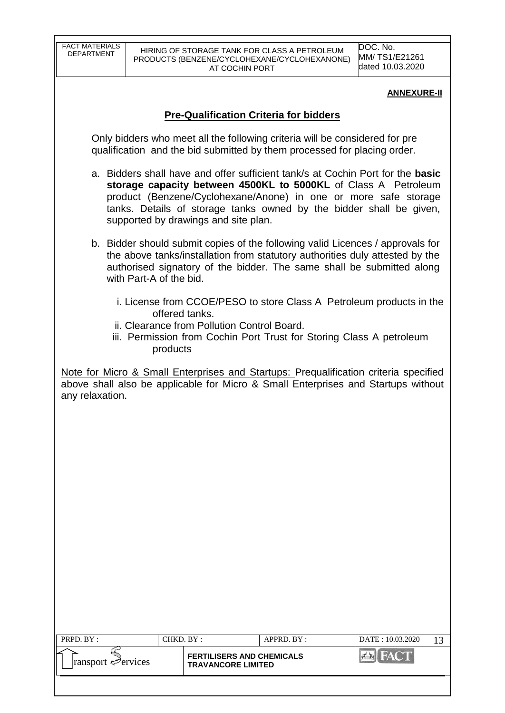DOC. No. MM/ TS1/E21261 dated 10.03.2020

#### **ANNEXURE-II**

## **Pre-Qualification Criteria for bidders**

Only bidders who meet all the following criteria will be considered for pre qualification and the bid submitted by them processed for placing order.

- a. Bidders shall have and offer sufficient tank/s at Cochin Port for the **basic storage capacity between 4500KL to 5000KL** of Class A Petroleum product (Benzene/Cyclohexane/Anone) in one or more safe storage tanks. Details of storage tanks owned by the bidder shall be given, supported by drawings and site plan.
- b. Bidder should submit copies of the following valid Licences / approvals for the above tanks/installation from statutory authorities duly attested by the authorised signatory of the bidder. The same shall be submitted along with Part-A of the bid.
	- i. License from CCOE/PESO to store Class A Petroleum products in the offered tanks.
	- ii. Clearance from Pollution Control Board.
	- iii. Permission from Cochin Port Trust for Storing Class A petroleum products

Note for Micro & Small Enterprises and Startups: Prequalification criteria specified above shall also be applicable for Micro & Small Enterprises and Startups without any relaxation.

| <b>FERTILISERS AND CHEMICALS</b><br>$\lvert$ ransport $\mathcal{P}$ ervices<br><b>TRAVANCORE LIMITED</b> | PRPD. BY: | CHKD. BY : | APPRD. BY: | DATE: 10.03.2020 |  |
|----------------------------------------------------------------------------------------------------------|-----------|------------|------------|------------------|--|
|                                                                                                          |           |            |            |                  |  |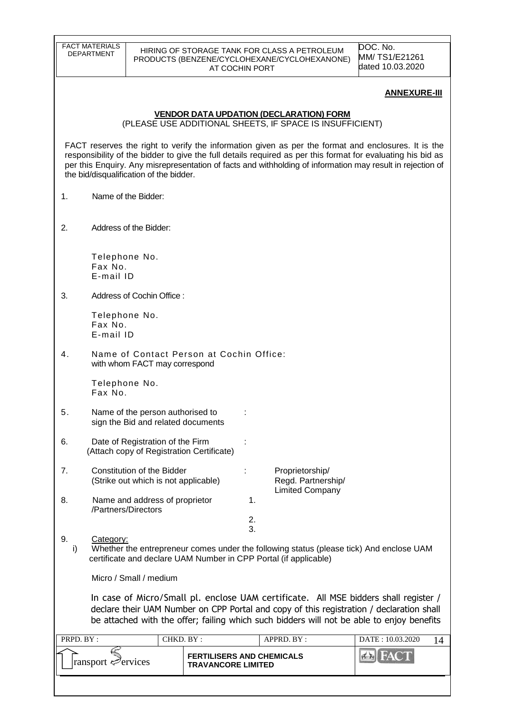|           | <b>FACT MATERIALS</b><br><b>DEPARTMENT</b>                                    |                                                               | HIRING OF STORAGE TANK FOR CLASS A PETROLEUM                                                                                                                                                                                                                                                                                     | DOC. No.<br>MM/TS1/E21261 |
|-----------|-------------------------------------------------------------------------------|---------------------------------------------------------------|----------------------------------------------------------------------------------------------------------------------------------------------------------------------------------------------------------------------------------------------------------------------------------------------------------------------------------|---------------------------|
|           |                                                                               | AT COCHIN PORT                                                | PRODUCTS (BENZENE/CYCLOHEXANE/CYCLOHEXANONE)                                                                                                                                                                                                                                                                                     | dated 10.03.2020          |
|           |                                                                               |                                                               |                                                                                                                                                                                                                                                                                                                                  | <b>ANNEXURE-III</b>       |
|           |                                                                               |                                                               | <b>VENDOR DATA UPDATION (DECLARATION) FORM</b><br>(PLEASE USE ADDITIONAL SHEETS, IF SPACE IS INSUFFICIENT)                                                                                                                                                                                                                       |                           |
|           | the bid/disqualification of the bidder.                                       |                                                               | FACT reserves the right to verify the information given as per the format and enclosures. It is the<br>responsibility of the bidder to give the full details required as per this format for evaluating his bid as<br>per this Enquiry. Any misrepresentation of facts and withholding of information may result in rejection of |                           |
| 1.        | Name of the Bidder:                                                           |                                                               |                                                                                                                                                                                                                                                                                                                                  |                           |
| 2.        | Address of the Bidder:                                                        |                                                               |                                                                                                                                                                                                                                                                                                                                  |                           |
|           | Telephone No.<br>Fax No.<br>E-mail ID                                         |                                                               |                                                                                                                                                                                                                                                                                                                                  |                           |
| 3.        | Address of Cochin Office:                                                     |                                                               |                                                                                                                                                                                                                                                                                                                                  |                           |
|           | Telephone No.<br>Fax No.<br>E-mail ID                                         |                                                               |                                                                                                                                                                                                                                                                                                                                  |                           |
| 4.        | Name of Contact Person at Cochin Office:<br>with whom FACT may correspond     |                                                               |                                                                                                                                                                                                                                                                                                                                  |                           |
|           | Telephone No.<br>Fax No.                                                      |                                                               |                                                                                                                                                                                                                                                                                                                                  |                           |
| ა.        | Name of the person authorised to<br>sign the Bid and related documents        |                                                               |                                                                                                                                                                                                                                                                                                                                  |                           |
| 6.        | Date of Registration of the Firm<br>(Attach copy of Registration Certificate) |                                                               |                                                                                                                                                                                                                                                                                                                                  |                           |
| 7.        | <b>Constitution of the Bidder</b><br>(Strike out which is not applicable)     |                                                               | Proprietorship/<br>Regd. Partnership/<br><b>Limited Company</b>                                                                                                                                                                                                                                                                  |                           |
| 8.        | Name and address of proprietor<br>/Partners/Directors                         |                                                               | 1.                                                                                                                                                                                                                                                                                                                               |                           |
|           |                                                                               |                                                               | 2.<br>3.                                                                                                                                                                                                                                                                                                                         |                           |
| 9.<br>i)  | Category:<br>certificate and declare UAM Number in CPP Portal (if applicable) |                                                               | Whether the entrepreneur comes under the following status (please tick) And enclose UAM                                                                                                                                                                                                                                          |                           |
|           | Micro / Small / medium                                                        |                                                               |                                                                                                                                                                                                                                                                                                                                  |                           |
|           |                                                                               |                                                               | In case of Micro/Small pl. enclose UAM certificate. All MSE bidders shall register /<br>declare their UAM Number on CPP Portal and copy of this registration / declaration shall<br>be attached with the offer; failing which such bidders will not be able to enjoy benefits                                                    |                           |
| PRPD. BY: |                                                                               | CHKD. BY:                                                     | APPRD. BY:                                                                                                                                                                                                                                                                                                                       | DATE: 10.03.2020<br>14    |
|           | ransport envices                                                              | <b>FERTILISERS AND CHEMICALS</b><br><b>TRAVANCORE LIMITED</b> |                                                                                                                                                                                                                                                                                                                                  | 43 FAC                    |
|           |                                                                               |                                                               |                                                                                                                                                                                                                                                                                                                                  |                           |

<u> 1980 - Johann Stoff, fransk politik (d. 1980)</u>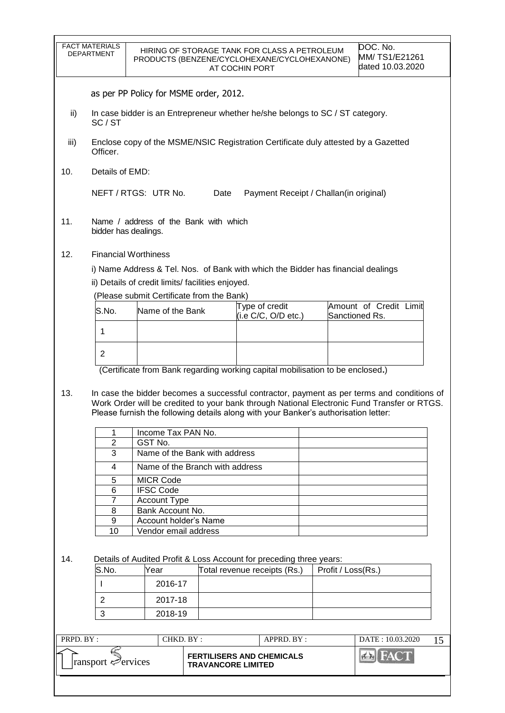|           | <b>FACT MATERIALS</b><br>DEPARTMENT                                                            |                                                                                               |                                 | HIRING OF STORAGE TANK FOR CLASS A PETROLEUM<br>PRODUCTS (BENZENE/CYCLOHEXANE/CYCLOHEXANONE)<br>AT COCHIN PORT                                                                                                                                                                   |                    | DOC. No.<br>MM/TS1/E21261<br>dated 10.03.2020 |    |  |
|-----------|------------------------------------------------------------------------------------------------|-----------------------------------------------------------------------------------------------|---------------------------------|----------------------------------------------------------------------------------------------------------------------------------------------------------------------------------------------------------------------------------------------------------------------------------|--------------------|-----------------------------------------------|----|--|
|           |                                                                                                | as per PP Policy for MSME order, 2012.                                                        |                                 |                                                                                                                                                                                                                                                                                  |                    |                                               |    |  |
| ii)       | In case bidder is an Entrepreneur whether he/she belongs to SC / ST category.<br>SC/ST         |                                                                                               |                                 |                                                                                                                                                                                                                                                                                  |                    |                                               |    |  |
| iii)      | Enclose copy of the MSME/NSIC Registration Certificate duly attested by a Gazetted<br>Officer. |                                                                                               |                                 |                                                                                                                                                                                                                                                                                  |                    |                                               |    |  |
| 10.       | Details of EMD:                                                                                |                                                                                               |                                 |                                                                                                                                                                                                                                                                                  |                    |                                               |    |  |
|           |                                                                                                | NEFT / RTGS: UTR No.                                                                          | Date                            | Payment Receipt / Challan(in original)                                                                                                                                                                                                                                           |                    |                                               |    |  |
| 11.       |                                                                                                | Name / address of the Bank with which<br>bidder has dealings.                                 |                                 |                                                                                                                                                                                                                                                                                  |                    |                                               |    |  |
| 12.       |                                                                                                | <b>Financial Worthiness</b>                                                                   |                                 |                                                                                                                                                                                                                                                                                  |                    |                                               |    |  |
|           |                                                                                                |                                                                                               |                                 | i) Name Address & Tel. Nos. of Bank with which the Bidder has financial dealings                                                                                                                                                                                                 |                    |                                               |    |  |
|           |                                                                                                | ii) Details of credit limits/facilities enjoyed.<br>(Please submit Certificate from the Bank) |                                 |                                                                                                                                                                                                                                                                                  |                    |                                               |    |  |
|           | S.No.                                                                                          | Name of the Bank                                                                              |                                 | Type of credit                                                                                                                                                                                                                                                                   |                    | Amount of Credit Limit                        |    |  |
|           | 1                                                                                              |                                                                                               |                                 | (i.e C/C, O/D etc.)                                                                                                                                                                                                                                                              |                    | Sanctioned Rs.                                |    |  |
|           |                                                                                                |                                                                                               |                                 |                                                                                                                                                                                                                                                                                  |                    |                                               |    |  |
|           | $\overline{2}$                                                                                 |                                                                                               |                                 |                                                                                                                                                                                                                                                                                  |                    |                                               |    |  |
|           |                                                                                                |                                                                                               |                                 | (Certificate from Bank regarding working capital mobilisation to be enclosed.)                                                                                                                                                                                                   |                    |                                               |    |  |
| 13.       |                                                                                                |                                                                                               |                                 | In case the bidder becomes a successful contractor, payment as per terms and conditions of<br>Work Order will be credited to your bank through National Electronic Fund Transfer or RTGS.<br>Please furnish the following details along with your Banker's authorisation letter: |                    |                                               |    |  |
|           | 1                                                                                              | Income Tax PAN No.                                                                            |                                 |                                                                                                                                                                                                                                                                                  |                    |                                               |    |  |
|           | $\overline{2}$<br>3                                                                            | GST No.                                                                                       | Name of the Bank with address   |                                                                                                                                                                                                                                                                                  |                    |                                               |    |  |
|           | 4                                                                                              |                                                                                               | Name of the Branch with address |                                                                                                                                                                                                                                                                                  |                    |                                               |    |  |
|           | 5                                                                                              | MICR Code                                                                                     |                                 |                                                                                                                                                                                                                                                                                  |                    |                                               |    |  |
|           | 6                                                                                              | <b>IFSC Code</b>                                                                              |                                 |                                                                                                                                                                                                                                                                                  |                    |                                               |    |  |
|           | 7<br>8                                                                                         | Account Type<br>Bank Account No.                                                              |                                 |                                                                                                                                                                                                                                                                                  |                    |                                               |    |  |
|           | 9                                                                                              | Account holder's Name                                                                         |                                 |                                                                                                                                                                                                                                                                                  |                    |                                               |    |  |
|           | 10                                                                                             | Vendor email address                                                                          |                                 |                                                                                                                                                                                                                                                                                  |                    |                                               |    |  |
| 14.       |                                                                                                |                                                                                               |                                 | Details of Audited Profit & Loss Account for preceding three years:                                                                                                                                                                                                              |                    |                                               |    |  |
|           | S.No.                                                                                          | Year                                                                                          |                                 | Total revenue receipts (Rs.)                                                                                                                                                                                                                                                     | Profit / Loss(Rs.) |                                               |    |  |
|           |                                                                                                | 2016-17                                                                                       |                                 |                                                                                                                                                                                                                                                                                  |                    |                                               |    |  |
|           | 2                                                                                              | 2017-18                                                                                       |                                 |                                                                                                                                                                                                                                                                                  |                    |                                               |    |  |
|           | 3                                                                                              | 2018-19                                                                                       |                                 |                                                                                                                                                                                                                                                                                  |                    |                                               |    |  |
|           |                                                                                                |                                                                                               |                                 |                                                                                                                                                                                                                                                                                  |                    |                                               |    |  |
| PRPD. BY: |                                                                                                | CHKD. BY:                                                                                     |                                 | APPRD. BY:                                                                                                                                                                                                                                                                       |                    | DATE: 10.03.2020                              | 15 |  |
|           | ransport ⇔ervices                                                                              |                                                                                               | <b>TRAVANCORE LIMITED</b>       | <b>FERTILISERS AND CHEMICALS</b>                                                                                                                                                                                                                                                 |                    | <b>EALEA</b>                                  |    |  |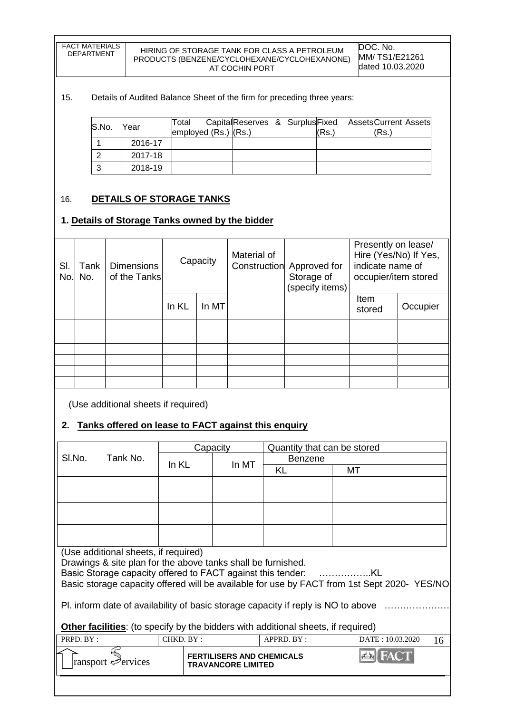| <b>FACT MATERIALS</b> | HIF         |
|-----------------------|-------------|
| <b>DEPARTMENT</b>     | <b>PROI</b> |
|                       |             |

#### RING OF STORAGE TANK FOR CLASS A PETROLEUM DUCTS (BENZENE/CYCLOHEXANE/CYCLOHEXANONE) AT COCHIN PORT

DOC. No. MM/ TS1/E21261 dated 10.03.2020

#### 15. Details of Audited Balance Sheet of the firm for preceding three years:

| S.No. | Year    | Total<br>employed (Rs.) (Rs.) | CapitalReserves & Surplus Fixed Assets Current Assets |  | 'Rs. | (Rs. |  |
|-------|---------|-------------------------------|-------------------------------------------------------|--|------|------|--|
|       | 2016-17 |                               |                                                       |  |      |      |  |
|       | 2017-18 |                               |                                                       |  |      |      |  |
|       | 2018-19 |                               |                                                       |  |      |      |  |

### 16. **DETAILS OF STORAGE TANKS**

### **1. Details of Storage Tanks owned by the bidder**

| SI.<br>No | Tank<br>No. | <b>Dimensions</b><br>of the Tanks |       | Capacity | Material of | Construction Approved for<br>Storage of<br>(specify items) | Presently on lease/<br>Hire (Yes/No) If Yes,<br>indicate name of<br>occupier/item stored |          |
|-----------|-------------|-----------------------------------|-------|----------|-------------|------------------------------------------------------------|------------------------------------------------------------------------------------------|----------|
|           |             |                                   | In KL | In MT    |             |                                                            | Item<br>stored                                                                           | Occupier |
|           |             |                                   |       |          |             |                                                            |                                                                                          |          |
|           |             |                                   |       |          |             |                                                            |                                                                                          |          |
|           |             |                                   |       |          |             |                                                            |                                                                                          |          |
|           |             |                                   |       |          |             |                                                            |                                                                                          |          |
|           |             |                                   |       |          |             |                                                            |                                                                                          |          |
|           |             |                                   |       |          |             |                                                            |                                                                                          |          |

(Use additional sheets if required)

## **2. Tanks offered on lease to FACT against this enquiry**

|                                                                                             | Capacity<br>Quantity that can be stored                      |           |                                  |                |                        |  |  |  |
|---------------------------------------------------------------------------------------------|--------------------------------------------------------------|-----------|----------------------------------|----------------|------------------------|--|--|--|
| SI.No.                                                                                      | Tank No.                                                     |           |                                  | <b>Benzene</b> |                        |  |  |  |
|                                                                                             |                                                              | In KL     | In MT                            | KL             | МT                     |  |  |  |
|                                                                                             |                                                              |           |                                  |                |                        |  |  |  |
|                                                                                             |                                                              |           |                                  |                |                        |  |  |  |
|                                                                                             |                                                              |           |                                  |                |                        |  |  |  |
|                                                                                             |                                                              |           |                                  |                |                        |  |  |  |
|                                                                                             |                                                              |           |                                  |                |                        |  |  |  |
|                                                                                             |                                                              |           |                                  |                |                        |  |  |  |
|                                                                                             | (Use additional sheets, if required)                         |           |                                  |                |                        |  |  |  |
|                                                                                             | Drawings & site plan for the above tanks shall be furnished. |           |                                  |                |                        |  |  |  |
|                                                                                             |                                                              |           |                                  |                |                        |  |  |  |
| Basic storage capacity offered will be available for use by FACT from 1st Sept 2020- YES/NO |                                                              |           |                                  |                |                        |  |  |  |
| Pl. inform date of availability of basic storage capacity if reply is NO to above           |                                                              |           |                                  |                |                        |  |  |  |
|                                                                                             |                                                              |           |                                  |                |                        |  |  |  |
| <b>Other facilities:</b> (to specify by the bidders with additional sheets, if required)    |                                                              |           |                                  |                |                        |  |  |  |
| PRPD. BY:                                                                                   |                                                              | CHKD. BY: |                                  | APPRD. BY:     | DATE: 10.03.2020<br>16 |  |  |  |
|                                                                                             |                                                              |           | <b>FERTILISERS AND CHEMICALS</b> |                |                        |  |  |  |
|                                                                                             | ransport envices                                             |           | <b>TRAVANCORE LIMITED</b>        |                |                        |  |  |  |
|                                                                                             |                                                              |           |                                  |                |                        |  |  |  |
|                                                                                             |                                                              |           |                                  |                |                        |  |  |  |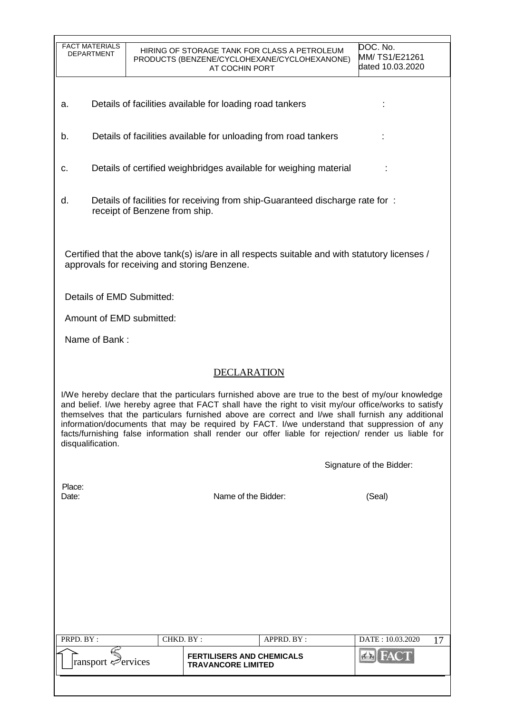| <b>FACT MATERIALS</b><br><b>DEPARTMENT</b> |                               | AT COCHIN PORT                                                | HIRING OF STORAGE TANK FOR CLASS A PETROLEUM<br>PRODUCTS (BENZENE/CYCLOHEXANE/CYCLOHEXANONE) | DOC. No.<br>MM/TS1/E21261<br>dated 10.03.2020                                                                                                                                                                                                                                                                                                                                                                                                                                                                         |
|--------------------------------------------|-------------------------------|---------------------------------------------------------------|----------------------------------------------------------------------------------------------|-----------------------------------------------------------------------------------------------------------------------------------------------------------------------------------------------------------------------------------------------------------------------------------------------------------------------------------------------------------------------------------------------------------------------------------------------------------------------------------------------------------------------|
| а.                                         |                               | Details of facilities available for loading road tankers      |                                                                                              |                                                                                                                                                                                                                                                                                                                                                                                                                                                                                                                       |
| b.                                         |                               |                                                               | Details of facilities available for unloading from road tankers                              |                                                                                                                                                                                                                                                                                                                                                                                                                                                                                                                       |
| c.                                         |                               |                                                               | Details of certified weighbridges available for weighing material                            |                                                                                                                                                                                                                                                                                                                                                                                                                                                                                                                       |
| d.                                         | receipt of Benzene from ship. |                                                               | Details of facilities for receiving from ship-Guaranteed discharge rate for:                 |                                                                                                                                                                                                                                                                                                                                                                                                                                                                                                                       |
|                                            |                               | approvals for receiving and storing Benzene.                  |                                                                                              | Certified that the above tank(s) is/are in all respects suitable and with statutory licenses /                                                                                                                                                                                                                                                                                                                                                                                                                        |
|                                            | Details of EMD Submitted:     |                                                               |                                                                                              |                                                                                                                                                                                                                                                                                                                                                                                                                                                                                                                       |
|                                            | Amount of EMD submitted:      |                                                               |                                                                                              |                                                                                                                                                                                                                                                                                                                                                                                                                                                                                                                       |
| Name of Bank:                              |                               |                                                               |                                                                                              |                                                                                                                                                                                                                                                                                                                                                                                                                                                                                                                       |
|                                            |                               | <b>DECLARATION</b>                                            |                                                                                              |                                                                                                                                                                                                                                                                                                                                                                                                                                                                                                                       |
| disqualification.                          |                               |                                                               |                                                                                              | I/We hereby declare that the particulars furnished above are true to the best of my/our knowledge<br>and belief. I/we hereby agree that FACT shall have the right to visit my/our office/works to satisfy<br>themselves that the particulars furnished above are correct and I/we shall furnish any additional<br>information/documents that may be required by FACT. I/we understand that suppression of any<br>facts/furnishing false information shall render our offer liable for rejection/ render us liable for |
|                                            |                               |                                                               |                                                                                              | Signature of the Bidder:                                                                                                                                                                                                                                                                                                                                                                                                                                                                                              |
| Place:<br>Date:                            |                               | Name of the Bidder:                                           |                                                                                              | (Seal)                                                                                                                                                                                                                                                                                                                                                                                                                                                                                                                |
|                                            |                               |                                                               |                                                                                              |                                                                                                                                                                                                                                                                                                                                                                                                                                                                                                                       |
|                                            |                               |                                                               |                                                                                              |                                                                                                                                                                                                                                                                                                                                                                                                                                                                                                                       |
|                                            |                               |                                                               |                                                                                              |                                                                                                                                                                                                                                                                                                                                                                                                                                                                                                                       |
|                                            |                               |                                                               |                                                                                              |                                                                                                                                                                                                                                                                                                                                                                                                                                                                                                                       |
| PRPD. BY:                                  |                               | CHKD. BY:                                                     | APPRD. BY:                                                                                   | DATE: 10.03.2020<br>17                                                                                                                                                                                                                                                                                                                                                                                                                                                                                                |
| ransport Pervices                          |                               | <b>FERTILISERS AND CHEMICALS</b><br><b>TRAVANCORE LIMITED</b> |                                                                                              | <b>FACT</b>                                                                                                                                                                                                                                                                                                                                                                                                                                                                                                           |
|                                            |                               |                                                               |                                                                                              |                                                                                                                                                                                                                                                                                                                                                                                                                                                                                                                       |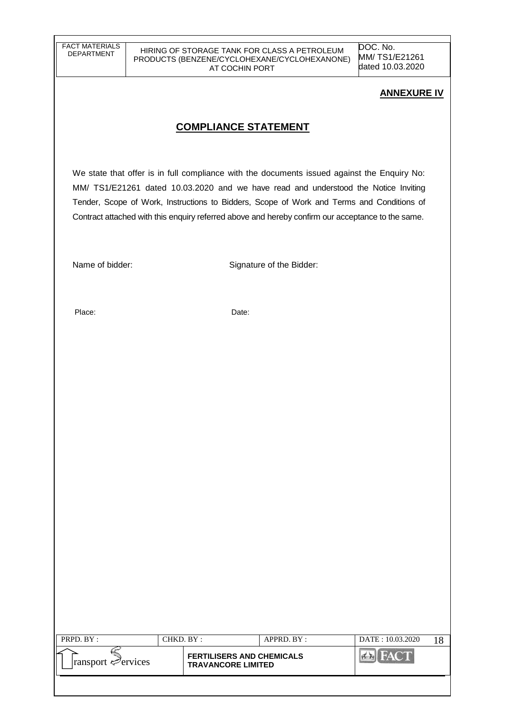HIRING OF STORAGE TANK FOR CLASS A PETROLEUM PRODUCTS (BENZENE/CYCLOHEXANE/CYCLOHEXANONE) AT COCHIN PORT

DOC. No. MM/ TS1/E21261 dated 10.03.2020

### **ANNEXURE IV**

## **COMPLIANCE STATEMENT**

We state that offer is in full compliance with the documents issued against the Enquiry No: MM/ TS1/E21261 dated 10.03.2020 and we have read and understood the Notice Inviting Tender, Scope of Work, Instructions to Bidders, Scope of Work and Terms and Conditions of Contract attached with this enquiry referred above and hereby confirm our acceptance to the same.

Name of bidder: Signature of the Bidder:

Place: Date:

| PRPD. BY:                       | CHKD. BY :                                                    | APPRD. BY: | DATE: 10.03.2020 |  |
|---------------------------------|---------------------------------------------------------------|------------|------------------|--|
| $\lvert$ ransport $\ll$ ervices | <b>FERTILISERS AND CHEMICALS</b><br><b>TRAVANCORE LIMITED</b> |            |                  |  |
|                                 |                                                               |            |                  |  |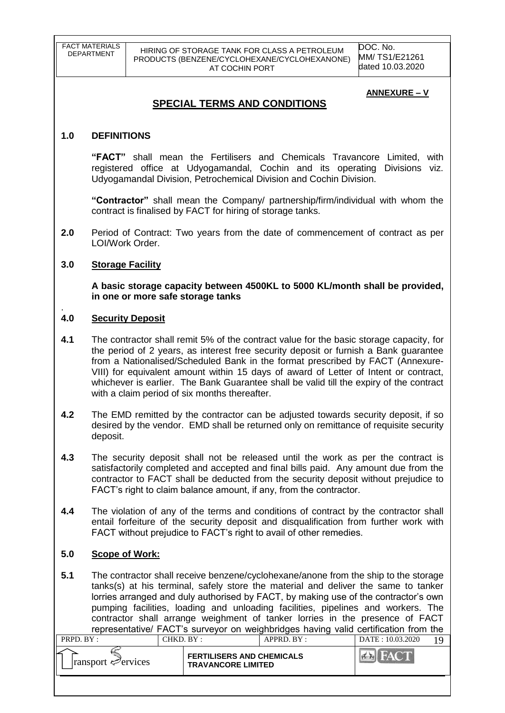DOC. No. MM/ TS1/E21261 dated 10.03.2020

#### **ANNEXURE – V**

## **SPECIAL TERMS AND CONDITIONS**

### **1.0 DEFINITIONS**

**"FACT"** shall mean the Fertilisers and Chemicals Travancore Limited, with registered office at Udyogamandal, Cochin and its operating Divisions viz. Udyogamandal Division, Petrochemical Division and Cochin Division.

**"Contractor"** shall mean the Company/ partnership/firm/individual with whom the contract is finalised by FACT for hiring of storage tanks.

**2.0** Period of Contract: Two years from the date of commencement of contract as per LOI/Work Order.

#### **3.0 Storage Facility**

**A basic storage capacity between 4500KL to 5000 KL/month shall be provided, in one or more safe storage tanks** 

#### . **4.0 Security Deposit**

- **4.1** The contractor shall remit 5% of the contract value for the basic storage capacity, for the period of 2 years, as interest free security deposit or furnish a Bank guarantee from a Nationalised/Scheduled Bank in the format prescribed by FACT (Annexure-VIII) for equivalent amount within 15 days of award of Letter of Intent or contract, whichever is earlier. The Bank Guarantee shall be valid till the expiry of the contract with a claim period of six months thereafter.
- **4.2** The EMD remitted by the contractor can be adjusted towards security deposit, if so desired by the vendor. EMD shall be returned only on remittance of requisite security deposit.
- **4.3** The security deposit shall not be released until the work as per the contract is satisfactorily completed and accepted and final bills paid. Any amount due from the contractor to FACT shall be deducted from the security deposit without prejudice to FACT"s right to claim balance amount, if any, from the contractor.
- **4.4** The violation of any of the terms and conditions of contract by the contractor shall entail forfeiture of the security deposit and disqualification from further work with FACT without prejudice to FACT"s right to avail of other remedies.

### **5.0 Scope of Work:**

**5.1** The contractor shall receive benzene/cyclohexane/anone from the ship to the storage tanks(s) at his terminal, safely store the material and deliver the same to tanker lorries arranged and duly authorised by FACT, by making use of the contractor's own pumping facilities, loading and unloading facilities, pipelines and workers. The contractor shall arrange weighment of tanker lorries in the presence of FACT representative/ FACT"s surveyor on weighbridges having valid certification from the

| <b>FERTILISERS AND CHEMICALS</b><br>$\lvert$ ransport $\mathcal{P}$ ervices<br><b>TRAVANCORE LIMITED</b> | PRPD. BY: | CHKD. BY : | $APPRD$ . $BY$ : | DATE: 10.03.2020 |  |
|----------------------------------------------------------------------------------------------------------|-----------|------------|------------------|------------------|--|
|                                                                                                          |           |            |                  |                  |  |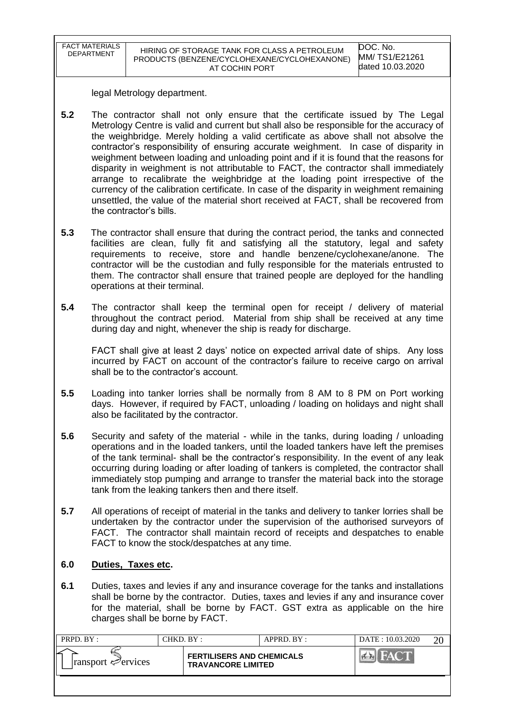| FACT MATERIALS<br><b>DEPARTMENT</b> | HIRING OF STORAGE TANK FOR CLASS A PETROLEUM<br>PRODUCTS (BENZENE/CYCLOHEXANE/CYCLOHEXANONE)<br>AT COCHIN PORT | DOC. No.<br>MM/ TS1/E21261<br>dated 10.03.2020 |
|-------------------------------------|----------------------------------------------------------------------------------------------------------------|------------------------------------------------|

legal Metrology department.

- **5.2** The contractor shall not only ensure that the certificate issued by The Legal Metrology Centre is valid and current but shall also be responsible for the accuracy of the weighbridge. Merely holding a valid certificate as above shall not absolve the contractor"s responsibility of ensuring accurate weighment. In case of disparity in weighment between loading and unloading point and if it is found that the reasons for disparity in weighment is not attributable to FACT, the contractor shall immediately arrange to recalibrate the weighbridge at the loading point irrespective of the currency of the calibration certificate. In case of the disparity in weighment remaining unsettled, the value of the material short received at FACT, shall be recovered from the contractor"s bills.
- **5.3** The contractor shall ensure that during the contract period, the tanks and connected facilities are clean, fully fit and satisfying all the statutory, legal and safety requirements to receive, store and handle benzene/cyclohexane/anone. The contractor will be the custodian and fully responsible for the materials entrusted to them. The contractor shall ensure that trained people are deployed for the handling operations at their terminal.
- **5.4** The contractor shall keep the terminal open for receipt / delivery of material throughout the contract period. Material from ship shall be received at any time during day and night, whenever the ship is ready for discharge.

FACT shall give at least 2 days" notice on expected arrival date of ships. Any loss incurred by FACT on account of the contractor"s failure to receive cargo on arrival shall be to the contractor's account.

- **5.5** Loading into tanker lorries shall be normally from 8 AM to 8 PM on Port working days. However, if required by FACT, unloading / loading on holidays and night shall also be facilitated by the contractor.
- **5.6** Security and safety of the material while in the tanks, during loading / unloading operations and in the loaded tankers, until the loaded tankers have left the premises of the tank terminal- shall be the contractor"s responsibility. In the event of any leak occurring during loading or after loading of tankers is completed, the contractor shall immediately stop pumping and arrange to transfer the material back into the storage tank from the leaking tankers then and there itself.
- **5.7** All operations of receipt of material in the tanks and delivery to tanker lorries shall be undertaken by the contractor under the supervision of the authorised surveyors of FACT. The contractor shall maintain record of receipts and despatches to enable FACT to know the stock/despatches at any time.

### **6.0 Duties, Taxes etc.**

**6.1** Duties, taxes and levies if any and insurance coverage for the tanks and installations shall be borne by the contractor. Duties, taxes and levies if any and insurance cover for the material, shall be borne by FACT. GST extra as applicable on the hire charges shall be borne by FACT.

| PRPD. BY :                              | CHKD. BY :                                                    | APPRD. BY: | DATE: 10.03.2020                    | $\gamma$ |
|-----------------------------------------|---------------------------------------------------------------|------------|-------------------------------------|----------|
| $\lvert$ ransport $\mathcal{P}$ ervices | <b>FERTILISERS AND CHEMICALS</b><br><b>TRAVANCORE LIMITED</b> |            | <b>THE FAX OF BE</b><br><b>PLAN</b> |          |
|                                         |                                                               |            |                                     |          |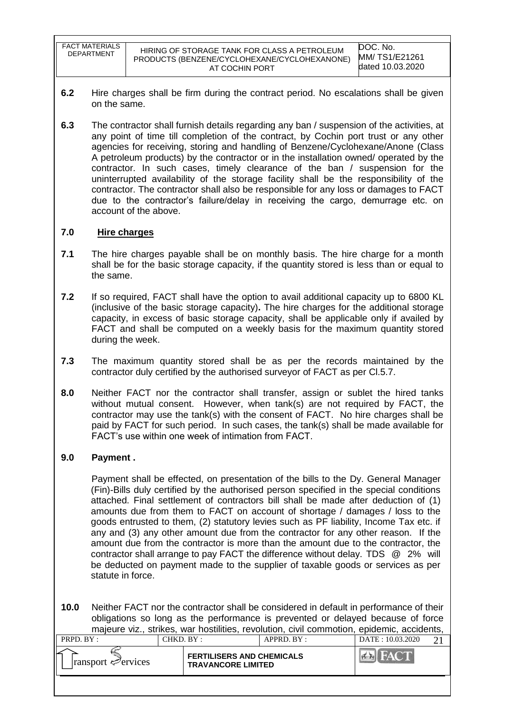FACT MATERIALS

- **6.2** Hire charges shall be firm during the contract period. No escalations shall be given on the same.
- **6.3** The contractor shall furnish details regarding any ban / suspension of the activities, at any point of time till completion of the contract, by Cochin port trust or any other agencies for receiving, storing and handling of Benzene/Cyclohexane/Anone (Class A petroleum products) by the contractor or in the installation owned/ operated by the contractor. In such cases, timely clearance of the ban / suspension for the uninterrupted availability of the storage facility shall be the responsibility of the contractor. The contractor shall also be responsible for any loss or damages to FACT due to the contractor"s failure/delay in receiving the cargo, demurrage etc. on account of the above.

### **7.0 Hire charges**

- **7.1** The hire charges payable shall be on monthly basis. The hire charge for a month shall be for the basic storage capacity, if the quantity stored is less than or equal to the same.
- **7.2** If so required, FACT shall have the option to avail additional capacity up to 6800 KL (inclusive of the basic storage capacity)**.** The hire charges for the additional storage capacity, in excess of basic storage capacity, shall be applicable only if availed by FACT and shall be computed on a weekly basis for the maximum quantity stored during the week.
- **7.3** The maximum quantity stored shall be as per the records maintained by the contractor duly certified by the authorised surveyor of FACT as per Cl.5.7.
- **8.0** Neither FACT nor the contractor shall transfer, assign or sublet the hired tanks without mutual consent. However, when tank(s) are not required by FACT, the contractor may use the tank(s) with the consent of FACT. No hire charges shall be paid by FACT for such period. In such cases, the tank(s) shall be made available for FACT"s use within one week of intimation from FACT.

### **9.0 Payment .**

Payment shall be effected, on presentation of the bills to the Dy. General Manager (Fin)-Bills duly certified by the authorised person specified in the special conditions attached. Final settlement of contractors bill shall be made after deduction of (1) amounts due from them to FACT on account of shortage / damages / loss to the goods entrusted to them, (2) statutory levies such as PF liability, Income Tax etc. if any and (3) any other amount due from the contractor for any other reason. If the amount due from the contractor is more than the amount due to the contractor, the contractor shall arrange to pay FACT the difference without delay. TDS @ 2% will be deducted on payment made to the supplier of taxable goods or services as per statute in force.

**10.0** Neither FACT nor the contractor shall be considered in default in performance of their obligations so long as the performance is prevented or delayed because of force majeure viz., strikes, war hostilities, revolution, civil commotion, epidemic, accidents,

| <b>FERTILISERS AND CHEMICALS</b><br>$\lvert$ ransport $\ll$ ervices<br><b>TRAVANCORE LIMITED</b> | PRPD. BY: | CHKD. BY : | $APPRD$ . $BY:$ | DATE: 10.03.2020 |  |
|--------------------------------------------------------------------------------------------------|-----------|------------|-----------------|------------------|--|
|                                                                                                  |           |            |                 |                  |  |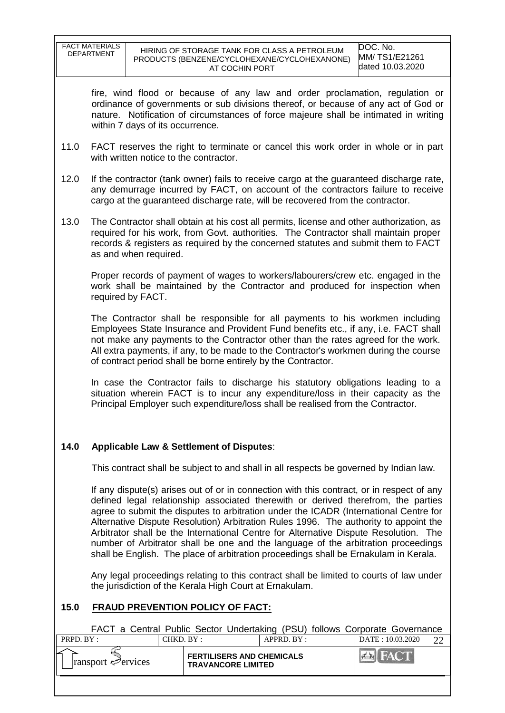|           | <b>FACT MATERIALS</b><br><b>DEPARTMENT</b>                                                                                                                                                                                                                                                                                                                                                                                                                                                                                                                                                                                           |                       |                                                     | HIRING OF STORAGE TANK FOR CLASS A PETROLEUM<br>PRODUCTS (BENZENE/CYCLOHEXANE/CYCLOHEXANONE)<br>AT COCHIN PORT |                                                                                | DOC. No.<br>MM/TS1/E21261<br>dated 10.03.2020                                                                                                                                                                                                                                                                                                     |  |  |  |
|-----------|--------------------------------------------------------------------------------------------------------------------------------------------------------------------------------------------------------------------------------------------------------------------------------------------------------------------------------------------------------------------------------------------------------------------------------------------------------------------------------------------------------------------------------------------------------------------------------------------------------------------------------------|-----------------------|-----------------------------------------------------|----------------------------------------------------------------------------------------------------------------|--------------------------------------------------------------------------------|---------------------------------------------------------------------------------------------------------------------------------------------------------------------------------------------------------------------------------------------------------------------------------------------------------------------------------------------------|--|--|--|
|           | fire, wind flood or because of any law and order proclamation, regulation or<br>ordinance of governments or sub divisions thereof, or because of any act of God or<br>nature. Notification of circumstances of force majeure shall be intimated in writing<br>within 7 days of its occurrence.                                                                                                                                                                                                                                                                                                                                       |                       |                                                     |                                                                                                                |                                                                                |                                                                                                                                                                                                                                                                                                                                                   |  |  |  |
| 11.0      |                                                                                                                                                                                                                                                                                                                                                                                                                                                                                                                                                                                                                                      |                       | with written notice to the contractor.              |                                                                                                                |                                                                                | FACT reserves the right to terminate or cancel this work order in whole or in part                                                                                                                                                                                                                                                                |  |  |  |
| 12.0      |                                                                                                                                                                                                                                                                                                                                                                                                                                                                                                                                                                                                                                      |                       |                                                     |                                                                                                                | cargo at the guaranteed discharge rate, will be recovered from the contractor. | If the contractor (tank owner) fails to receive cargo at the guaranteed discharge rate,<br>any demurrage incurred by FACT, on account of the contractors failure to receive                                                                                                                                                                       |  |  |  |
| 13.0      |                                                                                                                                                                                                                                                                                                                                                                                                                                                                                                                                                                                                                                      | as and when required. |                                                     |                                                                                                                |                                                                                | The Contractor shall obtain at his cost all permits, license and other authorization, as<br>required for his work, from Govt. authorities. The Contractor shall maintain proper<br>records & registers as required by the concerned statutes and submit them to FACT                                                                              |  |  |  |
|           |                                                                                                                                                                                                                                                                                                                                                                                                                                                                                                                                                                                                                                      | required by FACT.     |                                                     |                                                                                                                |                                                                                | Proper records of payment of wages to workers/labourers/crew etc. engaged in the<br>work shall be maintained by the Contractor and produced for inspection when                                                                                                                                                                                   |  |  |  |
|           |                                                                                                                                                                                                                                                                                                                                                                                                                                                                                                                                                                                                                                      |                       |                                                     | of contract period shall be borne entirely by the Contractor.                                                  |                                                                                | The Contractor shall be responsible for all payments to his workmen including<br>Employees State Insurance and Provident Fund benefits etc., if any, i.e. FACT shall<br>not make any payments to the Contractor other than the rates agreed for the work.<br>All extra payments, if any, to be made to the Contractor's workmen during the course |  |  |  |
|           | In case the Contractor fails to discharge his statutory obligations leading to a<br>situation wherein FACT is to incur any expenditure/loss in their capacity as the<br>Principal Employer such expenditure/loss shall be realised from the Contractor.                                                                                                                                                                                                                                                                                                                                                                              |                       |                                                     |                                                                                                                |                                                                                |                                                                                                                                                                                                                                                                                                                                                   |  |  |  |
| 14.0      |                                                                                                                                                                                                                                                                                                                                                                                                                                                                                                                                                                                                                                      |                       | <b>Applicable Law &amp; Settlement of Disputes:</b> |                                                                                                                |                                                                                |                                                                                                                                                                                                                                                                                                                                                   |  |  |  |
|           |                                                                                                                                                                                                                                                                                                                                                                                                                                                                                                                                                                                                                                      |                       |                                                     |                                                                                                                |                                                                                | This contract shall be subject to and shall in all respects be governed by Indian law.                                                                                                                                                                                                                                                            |  |  |  |
|           | If any dispute(s) arises out of or in connection with this contract, or in respect of any<br>defined legal relationship associated therewith or derived therefrom, the parties<br>agree to submit the disputes to arbitration under the ICADR (International Centre for<br>Alternative Dispute Resolution) Arbitration Rules 1996. The authority to appoint the<br>Arbitrator shall be the International Centre for Alternative Dispute Resolution. The<br>number of Arbitrator shall be one and the language of the arbitration proceedings<br>shall be English. The place of arbitration proceedings shall be Ernakulam in Kerala. |                       |                                                     |                                                                                                                |                                                                                |                                                                                                                                                                                                                                                                                                                                                   |  |  |  |
|           |                                                                                                                                                                                                                                                                                                                                                                                                                                                                                                                                                                                                                                      |                       |                                                     | the jurisdiction of the Kerala High Court at Ernakulam.                                                        |                                                                                | Any legal proceedings relating to this contract shall be limited to courts of law under                                                                                                                                                                                                                                                           |  |  |  |
| 15.0      |                                                                                                                                                                                                                                                                                                                                                                                                                                                                                                                                                                                                                                      |                       | <b>FRAUD PREVENTION POLICY OF FACT:</b>             |                                                                                                                |                                                                                |                                                                                                                                                                                                                                                                                                                                                   |  |  |  |
|           |                                                                                                                                                                                                                                                                                                                                                                                                                                                                                                                                                                                                                                      |                       |                                                     |                                                                                                                |                                                                                | FACT a Central Public Sector Undertaking (PSU) follows Corporate Governance                                                                                                                                                                                                                                                                       |  |  |  |
| PRPD. BY: |                                                                                                                                                                                                                                                                                                                                                                                                                                                                                                                                                                                                                                      |                       | CHKD. BY:                                           | APPRD. BY:                                                                                                     |                                                                                | DATE: 10.03.2020<br>22                                                                                                                                                                                                                                                                                                                            |  |  |  |
|           | ransport <⊅ervices                                                                                                                                                                                                                                                                                                                                                                                                                                                                                                                                                                                                                   |                       |                                                     | SERS AND CHEMICALS                                                                                             |                                                                                | $7 - 14$                                                                                                                                                                                                                                                                                                                                          |  |  |  |

**FERTILISERS AND CHEMICALS**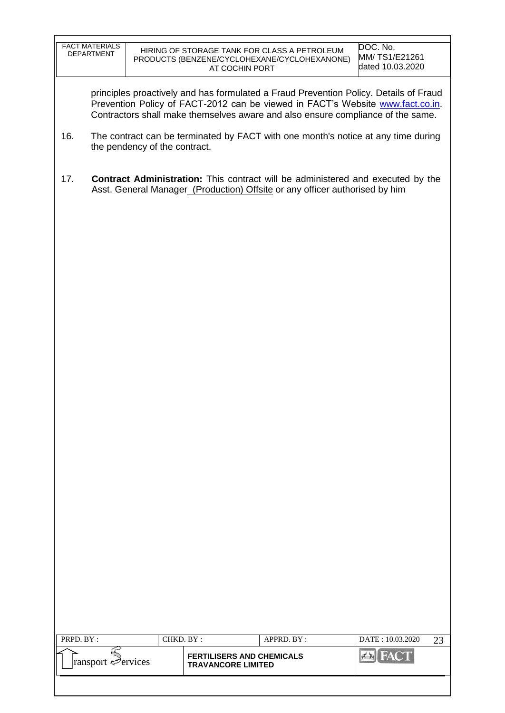|           | <b>FACT MATERIALS</b><br><b>DEPARTMENT</b> |           | HIRING OF STORAGE TANK FOR CLASS A PETROLEUM<br>PRODUCTS (BENZENE/CYCLOHEXANE/CYCLOHEXANONE)<br>AT COCHIN PORT |            |                                                                             | DOC. No.<br>MM/TS1/E21261<br>dated 10.03.2020                                                                                                                                                                                                              |    |
|-----------|--------------------------------------------|-----------|----------------------------------------------------------------------------------------------------------------|------------|-----------------------------------------------------------------------------|------------------------------------------------------------------------------------------------------------------------------------------------------------------------------------------------------------------------------------------------------------|----|
|           |                                            |           |                                                                                                                |            |                                                                             | principles proactively and has formulated a Fraud Prevention Policy. Details of Fraud<br>Prevention Policy of FACT-2012 can be viewed in FACT's Website www.fact.co.in.<br>Contractors shall make themselves aware and also ensure compliance of the same. |    |
| 16.       | the pendency of the contract.              |           |                                                                                                                |            |                                                                             | The contract can be terminated by FACT with one month's notice at any time during                                                                                                                                                                          |    |
| 17.       |                                            |           |                                                                                                                |            | Asst. General Manager_(Production) Offsite or any officer authorised by him | <b>Contract Administration:</b> This contract will be administered and executed by the                                                                                                                                                                     |    |
|           |                                            |           |                                                                                                                |            |                                                                             |                                                                                                                                                                                                                                                            |    |
|           |                                            |           |                                                                                                                |            |                                                                             |                                                                                                                                                                                                                                                            |    |
|           |                                            |           |                                                                                                                |            |                                                                             |                                                                                                                                                                                                                                                            |    |
|           |                                            |           |                                                                                                                |            |                                                                             |                                                                                                                                                                                                                                                            |    |
|           |                                            |           |                                                                                                                |            |                                                                             |                                                                                                                                                                                                                                                            |    |
|           |                                            |           |                                                                                                                |            |                                                                             |                                                                                                                                                                                                                                                            |    |
|           |                                            |           |                                                                                                                |            |                                                                             |                                                                                                                                                                                                                                                            |    |
|           |                                            |           |                                                                                                                |            |                                                                             |                                                                                                                                                                                                                                                            |    |
|           |                                            |           |                                                                                                                |            |                                                                             |                                                                                                                                                                                                                                                            |    |
|           |                                            |           |                                                                                                                |            |                                                                             |                                                                                                                                                                                                                                                            |    |
|           |                                            |           |                                                                                                                |            |                                                                             |                                                                                                                                                                                                                                                            |    |
|           |                                            |           |                                                                                                                |            |                                                                             |                                                                                                                                                                                                                                                            |    |
| PRPD. BY: |                                            | CHKD. BY: |                                                                                                                | APPRD. BY: |                                                                             | DATE: 10.03.2020                                                                                                                                                                                                                                           | 23 |
|           | ransport ∉ervices                          |           | <b>FERTILISERS AND CHEMICALS</b><br><b>TRAVANCORE LIMITED</b>                                                  |            |                                                                             | <b>FACT</b><br>$7 - 3$                                                                                                                                                                                                                                     |    |
|           |                                            |           |                                                                                                                |            |                                                                             |                                                                                                                                                                                                                                                            |    |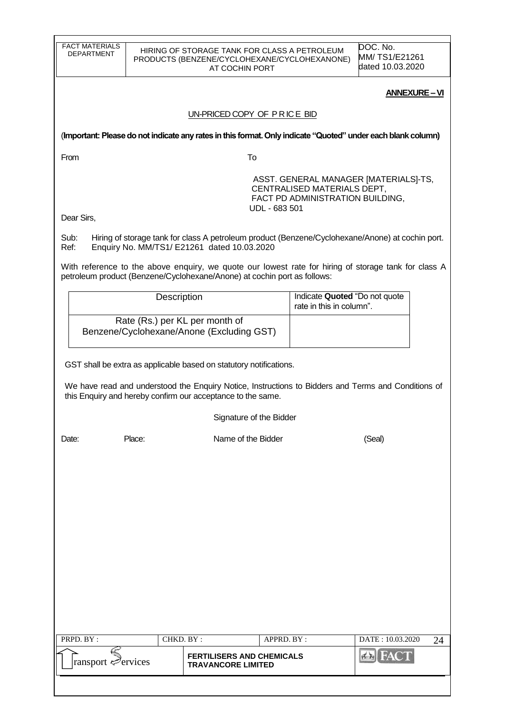| <b>FACT MATERIALS</b><br><b>DEPARTMENT</b> |                                                                                                                           | HIRING OF STORAGE TANK FOR CLASS A PETROLEUM<br>PRODUCTS (BENZENE/CYCLOHEXANE/CYCLOHEXANONE)<br>AT COCHIN PORT |             |                                                           | DOC. No.<br>MM/TS1/E21261<br>dated 10.03.2020                                                                |  |  |
|--------------------------------------------|---------------------------------------------------------------------------------------------------------------------------|----------------------------------------------------------------------------------------------------------------|-------------|-----------------------------------------------------------|--------------------------------------------------------------------------------------------------------------|--|--|
|                                            |                                                                                                                           |                                                                                                                |             |                                                           | <b>ANNEXURE-VI</b>                                                                                           |  |  |
|                                            |                                                                                                                           | UN-PRICED COPY OF PRICE BID                                                                                    |             |                                                           |                                                                                                              |  |  |
|                                            |                                                                                                                           |                                                                                                                |             |                                                           | (Important: Please do not indicate any rates in this format. Only indicate "Quoted" under each blank column) |  |  |
| From                                       |                                                                                                                           | To                                                                                                             |             |                                                           |                                                                                                              |  |  |
|                                            | ASST. GENERAL MANAGER [MATERIALS]-TS,<br>CENTRALISED MATERIALS DEPT,<br>FACT PD ADMINISTRATION BUILDING,<br>UDL - 683 501 |                                                                                                                |             |                                                           |                                                                                                              |  |  |
| Dear Sirs,                                 |                                                                                                                           |                                                                                                                |             |                                                           |                                                                                                              |  |  |
| Sub:<br>Ref:                               |                                                                                                                           | Enquiry No. MM/TS1/ E21261 dated 10.03.2020                                                                    |             |                                                           | Hiring of storage tank for class A petroleum product (Benzene/Cyclohexane/Anone) at cochin port.             |  |  |
|                                            |                                                                                                                           | petroleum product (Benzene/Cyclohexane/Anone) at cochin port as follows:                                       |             |                                                           | With reference to the above enquiry, we quote our lowest rate for hiring of storage tank for class A         |  |  |
|                                            | Description                                                                                                               |                                                                                                                |             | Indicate Quoted "Do not quote<br>rate in this in column". |                                                                                                              |  |  |
|                                            | Rate (Rs.) per KL per month of                                                                                            | Benzene/Cyclohexane/Anone (Excluding GST)                                                                      |             |                                                           |                                                                                                              |  |  |
|                                            |                                                                                                                           | GST shall be extra as applicable based on statutory notifications.                                             |             |                                                           |                                                                                                              |  |  |
|                                            |                                                                                                                           |                                                                                                                |             |                                                           | We have read and understood the Enquiry Notice, Instructions to Bidders and Terms and Conditions of          |  |  |
|                                            |                                                                                                                           | this Enquiry and hereby confirm our acceptance to the same.                                                    |             |                                                           |                                                                                                              |  |  |
|                                            |                                                                                                                           | Signature of the Bidder                                                                                        |             |                                                           |                                                                                                              |  |  |
| Date:                                      | Place:                                                                                                                    | Name of the Bidder                                                                                             |             |                                                           | (Seal)                                                                                                       |  |  |
|                                            |                                                                                                                           |                                                                                                                |             |                                                           |                                                                                                              |  |  |
|                                            |                                                                                                                           |                                                                                                                |             |                                                           |                                                                                                              |  |  |
|                                            |                                                                                                                           |                                                                                                                |             |                                                           |                                                                                                              |  |  |
|                                            |                                                                                                                           |                                                                                                                |             |                                                           |                                                                                                              |  |  |
|                                            |                                                                                                                           |                                                                                                                |             |                                                           |                                                                                                              |  |  |
|                                            |                                                                                                                           |                                                                                                                |             |                                                           |                                                                                                              |  |  |
|                                            |                                                                                                                           |                                                                                                                |             |                                                           |                                                                                                              |  |  |
|                                            |                                                                                                                           |                                                                                                                |             |                                                           |                                                                                                              |  |  |
|                                            |                                                                                                                           |                                                                                                                |             |                                                           |                                                                                                              |  |  |
| PRPD. BY:                                  | CHKD. BY:                                                                                                                 | <b>FERTILISERS AND CHEMICALS</b>                                                                               | APPRD. BY : |                                                           | DATE: 10.03.2020<br>24<br><b>FACT</b><br>$7 - 12$                                                            |  |  |
| ransport $\mathcal{P}$ ervices             |                                                                                                                           | <b>TRAVANCORE LIMITED</b>                                                                                      |             |                                                           |                                                                                                              |  |  |
|                                            |                                                                                                                           |                                                                                                                |             |                                                           |                                                                                                              |  |  |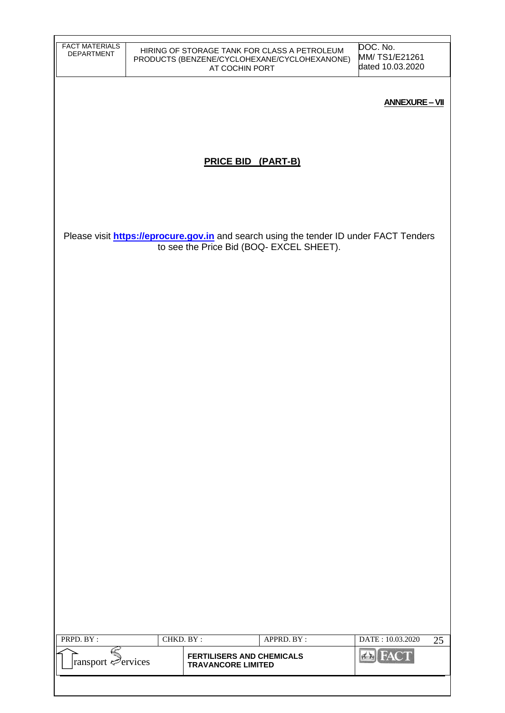| <b>FACT MATERIALS</b><br><b>DEPARTMENT</b> |           | AT COCHIN PORT                                                | HIRING OF STORAGE TANK FOR CLASS A PETROLEUM<br>PRODUCTS (BENZENE/CYCLOHEXANE/CYCLOHEXANONE)                                              | DOC. No.<br>MM/TS1/E21261<br>dated 10.03.2020 |
|--------------------------------------------|-----------|---------------------------------------------------------------|-------------------------------------------------------------------------------------------------------------------------------------------|-----------------------------------------------|
|                                            |           |                                                               |                                                                                                                                           | <b>ANNEXURE-VII</b>                           |
|                                            |           |                                                               |                                                                                                                                           |                                               |
|                                            |           | <b>PRICE BID (PART-B)</b>                                     |                                                                                                                                           |                                               |
|                                            |           |                                                               |                                                                                                                                           |                                               |
|                                            |           |                                                               | Please visit <b>https://eprocure.gov.in</b> and search using the tender ID under FACT Tenders<br>to see the Price Bid (BOQ- EXCEL SHEET). |                                               |
|                                            |           |                                                               |                                                                                                                                           |                                               |
|                                            |           |                                                               |                                                                                                                                           |                                               |
|                                            |           |                                                               |                                                                                                                                           |                                               |
|                                            |           |                                                               |                                                                                                                                           |                                               |
|                                            |           |                                                               |                                                                                                                                           |                                               |
|                                            |           |                                                               |                                                                                                                                           |                                               |
|                                            |           |                                                               |                                                                                                                                           |                                               |
|                                            |           |                                                               |                                                                                                                                           |                                               |
|                                            |           |                                                               |                                                                                                                                           |                                               |
|                                            |           |                                                               |                                                                                                                                           |                                               |
|                                            |           |                                                               |                                                                                                                                           |                                               |
| PRPD. BY:                                  | CHKD. BY: |                                                               | APPRD. BY:                                                                                                                                | DATE: 10.03.2020<br>25                        |
| Fransport Pervices                         |           | <b>FERTILISERS AND CHEMICALS</b><br><b>TRAVANCORE LIMITED</b> |                                                                                                                                           | <b>Ex</b> FACT                                |
|                                            |           |                                                               |                                                                                                                                           |                                               |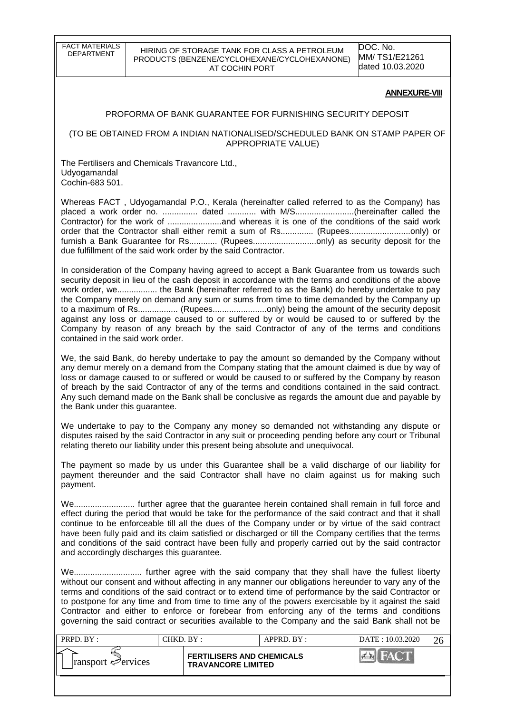FACT MATERIALS<br>DEPARTMENT

#### HIRING OF STORAGE TANK FOR CLASS A PETROLEUM PRODUCTS (BENZENE/CYCLOHEXANE/CYCLOHEXANONE) AT COCHIN PORT

DOC. No. MM/ TS1/E21261 dated 10.03.2020

#### **ANNEXURE-VIII**

#### PROFORMA OF BANK GUARANTEE FOR FURNISHING SECURITY DEPOSIT

#### (TO BE OBTAINED FROM A INDIAN NATIONALISED/SCHEDULED BANK ON STAMP PAPER OF APPROPRIATE VALUE)

The Fertilisers and Chemicals Travancore Ltd., Udyogamandal Cochin-683 501.

Whereas FACT , Udyogamandal P.O., Kerala (hereinafter called referred to as the Company) has placed a work order no. ............... dated ............ with M/S.........................(hereinafter called the Contractor) for the work of .......................and whereas it is one of the conditions of the said work order that the Contractor shall either remit a sum of Rs.............. (Rupees..........................only) or furnish a Bank Guarantee for Rs............ (Rupees.............................only) as security deposit for the due fulfillment of the said work order by the said Contractor.

In consideration of the Company having agreed to accept a Bank Guarantee from us towards such security deposit in lieu of the cash deposit in accordance with the terms and conditions of the above work order, we................. the Bank (hereinafter referred to as the Bank) do hereby undertake to pay the Company merely on demand any sum or sums from time to time demanded by the Company up to a maximum of Rs................. (Rupees.......................only) being the amount of the security deposit against any loss or damage caused to or suffered by or would be caused to or suffered by the Company by reason of any breach by the said Contractor of any of the terms and conditions contained in the said work order.

We, the said Bank, do hereby undertake to pay the amount so demanded by the Company without any demur merely on a demand from the Company stating that the amount claimed is due by way of loss or damage caused to or suffered or would be caused to or suffered by the Company by reason of breach by the said Contractor of any of the terms and conditions contained in the said contract. Any such demand made on the Bank shall be conclusive as regards the amount due and payable by the Bank under this guarantee.

We undertake to pay to the Company any money so demanded not withstanding any dispute or disputes raised by the said Contractor in any suit or proceeding pending before any court or Tribunal relating thereto our liability under this present being absolute and unequivocal.

The payment so made by us under this Guarantee shall be a valid discharge of our liability for payment thereunder and the said Contractor shall have no claim against us for making such payment.

We.......................... further agree that the guarantee herein contained shall remain in full force and effect during the period that would be take for the performance of the said contract and that it shall continue to be enforceable till all the dues of the Company under or by virtue of the said contract have been fully paid and its claim satisfied or discharged or till the Company certifies that the terms and conditions of the said contract have been fully and properly carried out by the said contractor and accordingly discharges this guarantee.

We............................. further agree with the said company that they shall have the fullest liberty without our consent and without affecting in any manner our obligations hereunder to vary any of the terms and conditions of the said contract or to extend time of performance by the said Contractor or to postpone for any time and from time to time any of the powers exercisable by it against the said Contractor and either to enforce or forebear from enforcing any of the terms and conditions governing the said contract or securities available to the Company and the said Bank shall not be

| PRPD. BY:                       | CHKD. BY : |                                                               | APPRD. BY: | DATE: 10.03.2020 |  |
|---------------------------------|------------|---------------------------------------------------------------|------------|------------------|--|
| $\lvert$ ransport $\ll$ ervices |            | <b>FERTILISERS AND CHEMICALS</b><br><b>TRAVANCORE LIMITED</b> |            |                  |  |
|                                 |            |                                                               |            |                  |  |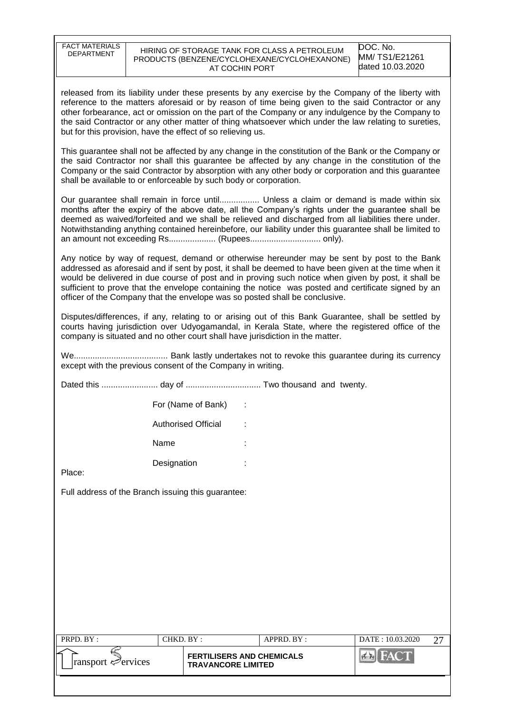| <b>FACT MATERIALS</b><br><b>DEPARTMENT</b>                                                                                                                                                                                                                                                                                                                                                                                                                                            |                                                                                                                                                                                                                                                                                                                                                                                                              | AT COCHIN PORT             | HIRING OF STORAGE TANK FOR CLASS A PETROLEUM<br>PRODUCTS (BENZENE/CYCLOHEXANE/CYCLOHEXANONE)                                                                                                                                                                                                                                                                                                                                                                                                      | DOC. No.<br>MM/TS1/E21261<br>dated 10.03.2020 |  |  |  |
|---------------------------------------------------------------------------------------------------------------------------------------------------------------------------------------------------------------------------------------------------------------------------------------------------------------------------------------------------------------------------------------------------------------------------------------------------------------------------------------|--------------------------------------------------------------------------------------------------------------------------------------------------------------------------------------------------------------------------------------------------------------------------------------------------------------------------------------------------------------------------------------------------------------|----------------------------|---------------------------------------------------------------------------------------------------------------------------------------------------------------------------------------------------------------------------------------------------------------------------------------------------------------------------------------------------------------------------------------------------------------------------------------------------------------------------------------------------|-----------------------------------------------|--|--|--|
| released from its liability under these presents by any exercise by the Company of the liberty with<br>reference to the matters aforesaid or by reason of time being given to the said Contractor or any<br>other forbearance, act or omission on the part of the Company or any indulgence by the Company to<br>the said Contractor or any other matter of thing whatsoever which under the law relating to sureties,<br>but for this provision, have the effect of so relieving us. |                                                                                                                                                                                                                                                                                                                                                                                                              |                            |                                                                                                                                                                                                                                                                                                                                                                                                                                                                                                   |                                               |  |  |  |
|                                                                                                                                                                                                                                                                                                                                                                                                                                                                                       | This guarantee shall not be affected by any change in the constitution of the Bank or the Company or<br>the said Contractor nor shall this quarantee be affected by any change in the constitution of the<br>Company or the said Contractor by absorption with any other body or corporation and this guarantee<br>shall be available to or enforceable by such body or corporation.                         |                            |                                                                                                                                                                                                                                                                                                                                                                                                                                                                                                   |                                               |  |  |  |
|                                                                                                                                                                                                                                                                                                                                                                                                                                                                                       | Our guarantee shall remain in force until Unless a claim or demand is made within six<br>months after the expiry of the above date, all the Company's rights under the guarantee shall be<br>deemed as waived/forfeited and we shall be relieved and discharged from all liabilities there under.<br>Notwithstanding anything contained hereinbefore, our liability under this guarantee shall be limited to |                            |                                                                                                                                                                                                                                                                                                                                                                                                                                                                                                   |                                               |  |  |  |
|                                                                                                                                                                                                                                                                                                                                                                                                                                                                                       |                                                                                                                                                                                                                                                                                                                                                                                                              |                            | Any notice by way of request, demand or otherwise hereunder may be sent by post to the Bank<br>addressed as aforesaid and if sent by post, it shall be deemed to have been given at the time when it<br>would be delivered in due course of post and in proving such notice when given by post, it shall be<br>sufficient to prove that the envelope containing the notice was posted and certificate signed by an<br>officer of the Company that the envelope was so posted shall be conclusive. |                                               |  |  |  |
|                                                                                                                                                                                                                                                                                                                                                                                                                                                                                       |                                                                                                                                                                                                                                                                                                                                                                                                              |                            | Disputes/differences, if any, relating to or arising out of this Bank Guarantee, shall be settled by<br>courts having jurisdiction over Udyogamandal, in Kerala State, where the registered office of the<br>company is situated and no other court shall have jurisdiction in the matter.                                                                                                                                                                                                        |                                               |  |  |  |
| except with the previous consent of the Company in writing.                                                                                                                                                                                                                                                                                                                                                                                                                           |                                                                                                                                                                                                                                                                                                                                                                                                              |                            |                                                                                                                                                                                                                                                                                                                                                                                                                                                                                                   |                                               |  |  |  |
|                                                                                                                                                                                                                                                                                                                                                                                                                                                                                       |                                                                                                                                                                                                                                                                                                                                                                                                              |                            |                                                                                                                                                                                                                                                                                                                                                                                                                                                                                                   |                                               |  |  |  |
|                                                                                                                                                                                                                                                                                                                                                                                                                                                                                       |                                                                                                                                                                                                                                                                                                                                                                                                              | For (Name of Bank)         |                                                                                                                                                                                                                                                                                                                                                                                                                                                                                                   |                                               |  |  |  |
|                                                                                                                                                                                                                                                                                                                                                                                                                                                                                       |                                                                                                                                                                                                                                                                                                                                                                                                              | <b>Authorised Official</b> |                                                                                                                                                                                                                                                                                                                                                                                                                                                                                                   |                                               |  |  |  |
|                                                                                                                                                                                                                                                                                                                                                                                                                                                                                       | Name                                                                                                                                                                                                                                                                                                                                                                                                         |                            |                                                                                                                                                                                                                                                                                                                                                                                                                                                                                                   |                                               |  |  |  |
| Place:                                                                                                                                                                                                                                                                                                                                                                                                                                                                                | Designation                                                                                                                                                                                                                                                                                                                                                                                                  |                            |                                                                                                                                                                                                                                                                                                                                                                                                                                                                                                   |                                               |  |  |  |
| Full address of the Branch issuing this guarantee:                                                                                                                                                                                                                                                                                                                                                                                                                                    |                                                                                                                                                                                                                                                                                                                                                                                                              |                            |                                                                                                                                                                                                                                                                                                                                                                                                                                                                                                   |                                               |  |  |  |
|                                                                                                                                                                                                                                                                                                                                                                                                                                                                                       |                                                                                                                                                                                                                                                                                                                                                                                                              |                            |                                                                                                                                                                                                                                                                                                                                                                                                                                                                                                   |                                               |  |  |  |
|                                                                                                                                                                                                                                                                                                                                                                                                                                                                                       |                                                                                                                                                                                                                                                                                                                                                                                                              |                            |                                                                                                                                                                                                                                                                                                                                                                                                                                                                                                   |                                               |  |  |  |
|                                                                                                                                                                                                                                                                                                                                                                                                                                                                                       |                                                                                                                                                                                                                                                                                                                                                                                                              |                            |                                                                                                                                                                                                                                                                                                                                                                                                                                                                                                   |                                               |  |  |  |
|                                                                                                                                                                                                                                                                                                                                                                                                                                                                                       |                                                                                                                                                                                                                                                                                                                                                                                                              |                            |                                                                                                                                                                                                                                                                                                                                                                                                                                                                                                   |                                               |  |  |  |
|                                                                                                                                                                                                                                                                                                                                                                                                                                                                                       |                                                                                                                                                                                                                                                                                                                                                                                                              |                            |                                                                                                                                                                                                                                                                                                                                                                                                                                                                                                   |                                               |  |  |  |
|                                                                                                                                                                                                                                                                                                                                                                                                                                                                                       |                                                                                                                                                                                                                                                                                                                                                                                                              |                            |                                                                                                                                                                                                                                                                                                                                                                                                                                                                                                   |                                               |  |  |  |
|                                                                                                                                                                                                                                                                                                                                                                                                                                                                                       |                                                                                                                                                                                                                                                                                                                                                                                                              |                            |                                                                                                                                                                                                                                                                                                                                                                                                                                                                                                   |                                               |  |  |  |
| PRPD. BY:                                                                                                                                                                                                                                                                                                                                                                                                                                                                             |                                                                                                                                                                                                                                                                                                                                                                                                              | CHKD. BY:                  | APPRD. BY:                                                                                                                                                                                                                                                                                                                                                                                                                                                                                        | DATE: 10.03.2020<br>27                        |  |  |  |
| ransport ∉ervices                                                                                                                                                                                                                                                                                                                                                                                                                                                                     |                                                                                                                                                                                                                                                                                                                                                                                                              | <b>TRAVANCORE LIMITED</b>  | <b>FERTILISERS AND CHEMICALS</b>                                                                                                                                                                                                                                                                                                                                                                                                                                                                  | EAC                                           |  |  |  |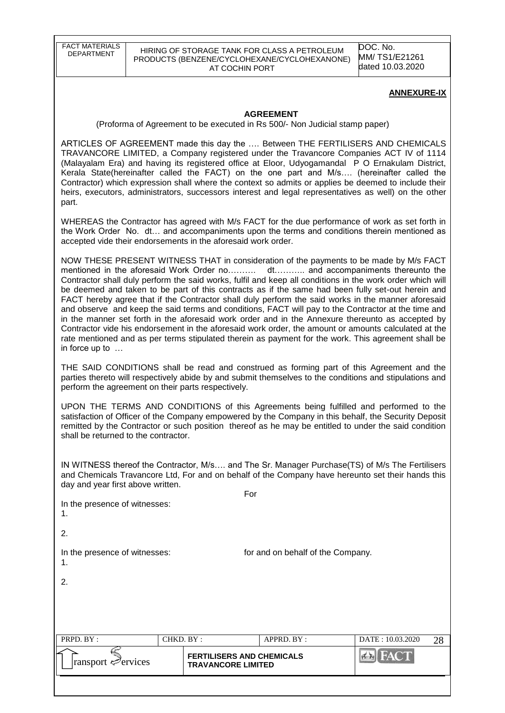DOC. No. MM/ TS1/E21261 dated 10.03.2020

#### **ANNEXURE-IX**

#### **AGREEMENT**

(Proforma of Agreement to be executed in Rs 500/- Non Judicial stamp paper)

ARTICLES OF AGREEMENT made this day the …. Between THE FERTILISERS AND CHEMICALS TRAVANCORE LIMITED, a Company registered under the Travancore Companies ACT IV of 1114 (Malayalam Era) and having its registered office at Eloor, Udyogamandal P O Ernakulam District, Kerala State(hereinafter called the FACT) on the one part and M/s…. (hereinafter called the Contractor) which expression shall where the context so admits or applies be deemed to include their heirs, executors, administrators, successors interest and legal representatives as well) on the other part.

WHEREAS the Contractor has agreed with M/s FACT for the due performance of work as set forth in the Work Order No. dt… and accompaniments upon the terms and conditions therein mentioned as accepted vide their endorsements in the aforesaid work order.

NOW THESE PRESENT WITNESS THAT in consideration of the payments to be made by M/s FACT mentioned in the aforesaid Work Order no………. dt……….. and accompaniments thereunto the Contractor shall duly perform the said works, fulfil and keep all conditions in the work order which will be deemed and taken to be part of this contracts as if the same had been fully set-out herein and FACT hereby agree that if the Contractor shall duly perform the said works in the manner aforesaid and observe and keep the said terms and conditions, FACT will pay to the Contractor at the time and in the manner set forth in the aforesaid work order and in the Annexure thereunto as accepted by Contractor vide his endorsement in the aforesaid work order, the amount or amounts calculated at the rate mentioned and as per terms stipulated therein as payment for the work. This agreement shall be in force up to …

THE SAID CONDITIONS shall be read and construed as forming part of this Agreement and the parties thereto will respectively abide by and submit themselves to the conditions and stipulations and perform the agreement on their parts respectively.

UPON THE TERMS AND CONDITIONS of this Agreements being fulfilled and performed to the satisfaction of Officer of the Company empowered by the Company in this behalf, the Security Deposit remitted by the Contractor or such position thereof as he may be entitled to under the said condition shall be returned to the contractor.

IN WITNESS thereof the Contractor, M/s…. and The Sr. Manager Purchase(TS) of M/s The Fertilisers and Chemicals Travancore Ltd, For and on behalf of the Company have hereunto set their hands this day and year first above written.

| PRPD. BY:<br> ransport ∉ervices     | CHKD. BY: | <b>FERTILISERS AND CHEMICALS</b> | APPRD. BY:                        | DATE: 10.03.2020<br><b>BE FACT</b> | 28 |  |  |
|-------------------------------------|-----------|----------------------------------|-----------------------------------|------------------------------------|----|--|--|
|                                     |           |                                  |                                   |                                    |    |  |  |
|                                     |           |                                  |                                   |                                    |    |  |  |
| 2.                                  |           |                                  |                                   |                                    |    |  |  |
| In the presence of witnesses:<br>1. |           |                                  | for and on behalf of the Company. |                                    |    |  |  |
| 2.                                  |           |                                  |                                   |                                    |    |  |  |
| 1.                                  |           |                                  |                                   |                                    |    |  |  |
| In the presence of witnesses:       |           | For                              |                                   |                                    |    |  |  |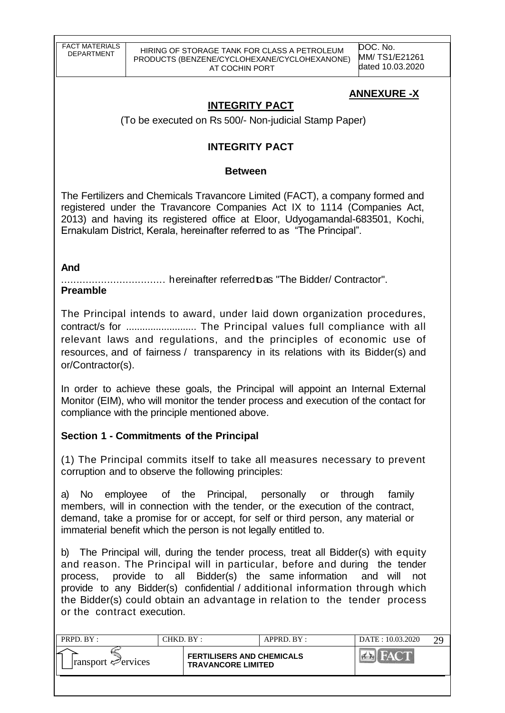DOC. No. MM/ TS1/E21261 dated 10.03.2020

# **ANNEXURE -X**

# **INTEGRITY PACT**

(To be executed on Rs 500/- Non-judicial Stamp Paper)

# **INTEGRITY PACT**

## **Between**

The Fertilizers and Chemicals Travancore Limited (FACT), a company formed and registered under the Travancore Companies Act IX to 1114 (Companies Act, 2013) and having its registered office at Eloor, Udyogamandal-683501, Kochi, Ernakulam District, Kerala, hereinafter referred to as "The Principal".

## **And**

.................................. hereinafter referredtoas "The Bidder/ Contractor".

## **Preamble**

The Principal intends to award, under laid down organization procedures, contract/s for .......................... The Principal values full compliance with all relevant laws and regulations, and the principles of economic use of resources, and of fairness / transparency in its relations with its Bidder(s) and or/Contractor(s).

In order to achieve these goals, the Principal will appoint an Internal External Monitor (EIM), who will monitor the tender process and execution of the contact for compliance with the principle mentioned above.

# **Section 1 - Commitments of the Principal**

(1) The Principal commits itself to take all measures necessary to prevent corruption and to observe the following principles:

a) No employee of the Principal, personally or through family members, will in connection with the tender, or the execution of the contract, demand, take a promise for or accept, for self or third person, any material or immaterial benefit which the person is not legally entitled to.

b) The Principal will, during the tender process, treat all Bidder(s) with equity and reason. The Principal will in particular, before and during the tender process, provide to all Bidder(s) the same information and will not provide to any Bidder(s) confidential / additional information through which the Bidder(s) could obtain an advantage in relation to the tender process or the contract execution.

| PRPD. BY :                         | CHKD. BY : |                                                               | APPRD. BY: | DATE: 10.03.2020 | ററ |
|------------------------------------|------------|---------------------------------------------------------------|------------|------------------|----|
| $ $ ransport $\mathcal{P}$ ervices |            | <b>FERTILISERS AND CHEMICALS</b><br><b>TRAVANCORE LIMITED</b> |            |                  |    |
|                                    |            |                                                               |            |                  |    |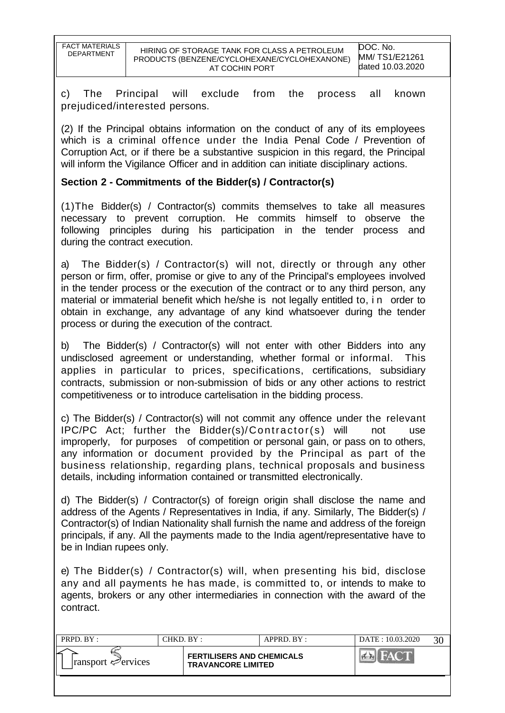| FACT MATERIALS<br>DEPARTMENT | HIRING OF STORAGE TANK FOR CLASS A PETROLEUM<br>PRODUCTS (BENZENE/CYCLOHEXANE/CYCLOHEXANONE) | DOC. No.<br>MM/TS1/E21261 |
|------------------------------|----------------------------------------------------------------------------------------------|---------------------------|
|                              | AT COCHIN PORT                                                                               | dated 10.03.2020          |

c) The Principal will exclude from the process all known prejudiced/interested persons.

(2) If the Principal obtains information on the conduct of any of its employees which is a criminal offence under the India Penal Code / Prevention of Corruption Act, or if there be a substantive suspicion in this regard, the Principal will inform the Vigilance Officer and in addition can initiate disciplinary actions.

## **Section 2 - Commitments of the Bidder(s) / Contractor(s)**

(1)The Bidder(s) / Contractor(s) commits themselves to take all measures necessary to prevent corruption. He commits himself to observe the following principles during his participation in the tender process and during the contract execution.

a) The Bidder(s) / Contractor(s) will not, directly or through any other person or firm, offer, promise or give to any of the Principal's employees involved in the tender process or the execution of the contract or to any third person, any material or immaterial benefit which he/she is not legally entitled to, in order to obtain in exchange, any advantage of any kind whatsoever during the tender process or during the execution of the contract.

b) The Bidder(s) / Contractor(s) will not enter with other Bidders into any undisclosed agreement or understanding, whether formal or informal. This applies in particular to prices, specifications, certifications, subsidiary contracts, submission or non-submission of bids or any other actions to restrict competitiveness or to introduce cartelisation in the bidding process.

c) The Bidder(s) / Contractor(s) will not commit any offence under the relevant IPC/PC Act; further the Bidder(s)/Contractor(s) will not improperly, for purposes of competition or personal gain, or pass on to others, any information or document provided by the Principal as part of the business relationship, regarding plans, technical proposals and business details, including information contained or transmitted electronically.

d) The Bidder(s) / Contractor(s) of foreign origin shall disclose the name and address of the Agents / Representatives in India, if any. Similarly, The Bidder(s) / Contractor(s) of Indian Nationality shall furnish the name and address of the foreign principals, if any. All the payments made to the India agent/representative have to be in Indian rupees only.

e) The Bidder(s) / Contractor(s) will, when presenting his bid, disclose any and all payments he has made, is committed to, or intends to make to agents, brokers or any other intermediaries in connection with the award of the contract.

| PRPD. BY :                      | CHKD. BY : |                                                               | APPRD. BY : | DATE: 10.03.2020 |  |
|---------------------------------|------------|---------------------------------------------------------------|-------------|------------------|--|
| $\lvert$ ransport $\ll$ ervices |            | <b>FERTILISERS AND CHEMICALS</b><br><b>TRAVANCORE LIMITED</b> |             |                  |  |
|                                 |            |                                                               |             |                  |  |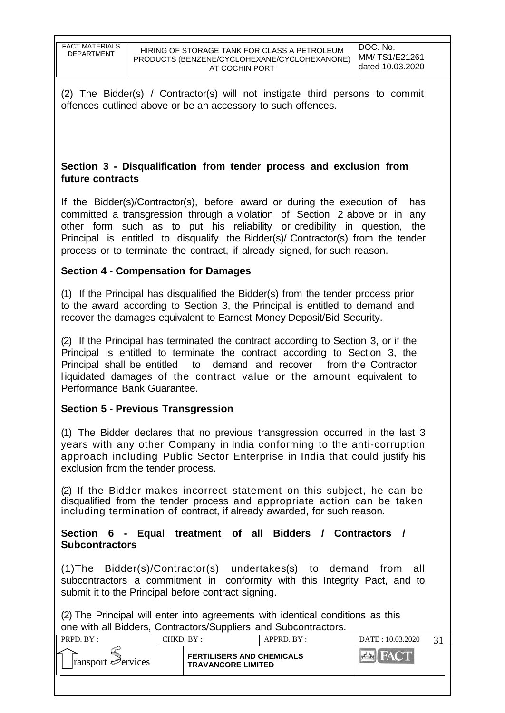(2) The Bidder(s) / Contractor(s) will not instigate third persons to commit offences outlined above or be an accessory to such offences.

## **Section 3 - Disqualification from tender process and exclusion from future contracts**

If the Bidder(s)/Contractor(s), before award or during the execution of has committed a transgression through a violation of Section 2 above or in any other form such as to put his reliability or credibility in question, the Principal is entitled to disqualify the Bidder(s)/ Contractor(s) from the tender process or to terminate the contract, if already signed, for such reason.

## **Section 4 - Compensation for Damages**

(1) If the Principal has disqualified the Bidder(s) from the tender process prior to the award according to Section 3, the Principal is entitled to demand and recover the damages equivalent to Earnest Money Deposit/Bid Security.

(2) If the Principal has terminated the contract according to Section 3, or if the Principal is entitled to terminate the contract according to Section 3, the Principal shall be entitled to demand and recover from the Contractor liquidated damages of the contract value or the amount equivalent to Performance Bank Guarantee.

## **Section 5 - Previous Transgression**

(1) The Bidder declares that no previous transgression occurred in the last 3 years with any other Company in India conforming to the anti-corruption approach including Public Sector Enterprise in India that could justify his exclusion from the tender process.

(2) If the Bidder makes incorrect statement on this subject, he can be disqualified from the tender process and appropriate action can be taken including termination of contract, if already awarded, for such reason.

### **Section 6 - Equal treatment of all Bidders / Contractors / Subcontractors**

(1)The Bidder(s)/Contractor(s) undertakes(s) to demand from all subcontractors a commitment in conformity with this Integrity Pact, and to submit it to the Principal before contract signing.

(2) The Principal will enter into agreements with identical conditions as this one with all Bidders, Contractors/Suppliers and Subcontractors.

| PRPD. BY:                               | CHKD. BY : |                                                               | APPRD. BY: | DATE: 10.03.2020 |  |
|-----------------------------------------|------------|---------------------------------------------------------------|------------|------------------|--|
| $\lvert$ ransport $\mathcal{P}$ ervices |            | <b>FERTILISERS AND CHEMICALS</b><br><b>TRAVANCORE LIMITED</b> |            |                  |  |
|                                         |            |                                                               |            |                  |  |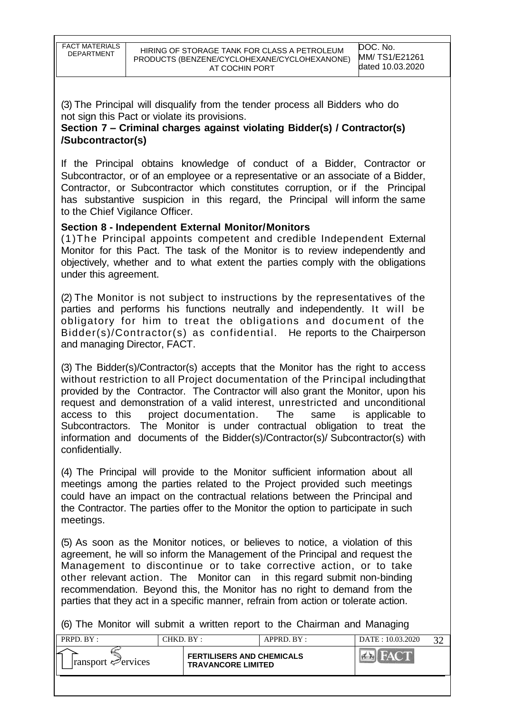(3) The Principal will disqualify from the tender process all Bidders who do not sign this Pact or violate its provisions.

**Section 7 – Criminal charges against violating Bidder(s) / Contractor(s) /Subcontractor(s)**

If the Principal obtains knowledge of conduct of a Bidder, Contractor or Subcontractor, or of an employee or a representative or an associate of a Bidder, Contractor, or Subcontractor which constitutes corruption, or if the Principal has substantive suspicion in this regard, the Principal will inform the same to the Chief Vigilance Officer.

## **Section 8 - Independent External Monitor/Monitors**

(1)The Principal appoints competent and credible Independent External Monitor for this Pact. The task of the Monitor is to review independently and objectively, whether and to what extent the parties comply with the obligations under this agreement.

(2) The Monitor is not subject to instructions by the representatives of the parties and performs his functions neutrally and independently. It will be obligatory for him to treat the obligations and document of the Bidder(s)/Contractor(s) as confidential. He reports to the Chairperson and managing Director, FACT.

(3) The Bidder(s)/Contractor(s) accepts that the Monitor has the right to access without restriction to all Project documentation of the Principal includingthat provided by the Contractor. The Contractor will also grant the Monitor, upon his request and demonstration of a valid interest, unrestricted and unconditional access to this project documentation. The same is applicable to Subcontractors. The Monitor is under contractual obligation to treat the information and documents of the Bidder(s)/Contractor(s)/ Subcontractor(s) with confidentially.

(4) The Principal will provide to the Monitor sufficient information about all meetings among the parties related to the Project provided such meetings could have an impact on the contractual relations between the Principal and the Contractor. The parties offer to the Monitor the option to participate in such meetings.

(5) As soon as the Monitor notices, or believes to notice, a violation of this agreement, he will so inform the Management of the Principal and request the Management to discontinue or to take corrective action, or to take other relevant action. The Monitor can in this regard submit non-binding recommendation. Beyond this, the Monitor has no right to demand from the parties that they act in a specific manner, refrain from action or tolerate action.

(6) The Monitor will submit a written report to the Chairman and Managing

| PRPD. BY:                               | CHKD. BY :-                                                   | $APPRD$ $BY:$ | DATE: 10.03.2020 |  |
|-----------------------------------------|---------------------------------------------------------------|---------------|------------------|--|
| $\lvert$ ransport $\mathcal{P}$ ervices | <b>FERTILISERS AND CHEMICALS</b><br><b>TRAVANCORE LIMITED</b> |               |                  |  |
|                                         |                                                               |               |                  |  |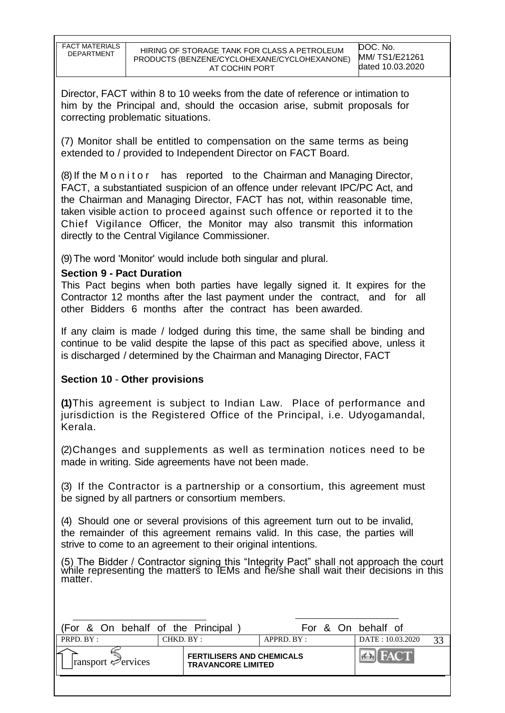| <b>FACT MATERIALS</b> |
|-----------------------|
|                       |
| <b>DEPARTMENT</b>     |
|                       |
|                       |
|                       |
|                       |

Director, FACT within 8 to 10 weeks from the date of reference or intimation to him by the Principal and, should the occasion arise, submit proposals for correcting problematic situations.

(7) Monitor shall be entitled to compensation on the same terms as being extended to / provided to Independent Director on FACT Board.

(8) If the M o n i t o r has reported to the Chairman and Managing Director, FACT, a substantiated suspicion of an offence under relevant IPC/PC Act, and the Chairman and Managing Director, FACT has not, within reasonable time, taken visible action to proceed against such offence or reported it to the Chief Vigilance Officer, the Monitor may also transmit this information directly to the Central Vigilance Commissioner.

(9)The word 'Monitor' would include both singular and plural.

## **Section 9 - Pact Duration**

This Pact begins when both parties have legally signed it. It expires for the Contractor 12 months after the last payment under the contract, and for all other Bidders 6 months after the contract has been awarded.

If any claim is made / lodged during this time, the same shall be binding and continue to be valid despite the lapse of this pact as specified above, unless it is discharged / determined by the Chairman and Managing Director, FACT

## **Section 10** - **Other provisions**

**(1)**This agreement is subject to Indian Law. Place of performance and jurisdiction is the Registered Office of the Principal, i.e. Udyogamandal, Kerala.

(2)Changes and supplements as well as termination notices need to be made in writing. Side agreements have not been made.

(3) If the Contractor is a partnership or a consortium, this agreement must be signed by all partners or consortium members.

(4) Should one or several provisions of this agreement turn out to be invalid, the remainder of this agreement remains valid. In this case, the parties will strive to come to an agreement to their original intentions.

(5) The Bidder / Contractor signing this "Integrity Pact" shall not approach the court while representing the matters to IEMs and he/she shall wait their decisions in this matter.

| (For & On behalf of the Principal       |           |                                                               |                |  |  | For & On behalf of |    |
|-----------------------------------------|-----------|---------------------------------------------------------------|----------------|--|--|--------------------|----|
| PRPD. BY:                               | CHKD. BY: |                                                               | $APPRD$ . BY : |  |  | DATE: 10.03.2020   | 33 |
| $\lvert$ ransport $\mathcal{P}$ ervices |           | <b>FERTILISERS AND CHEMICALS</b><br><b>TRAVANCORE LIMITED</b> |                |  |  | <b>EN FACT</b>     |    |
|                                         |           |                                                               |                |  |  |                    |    |